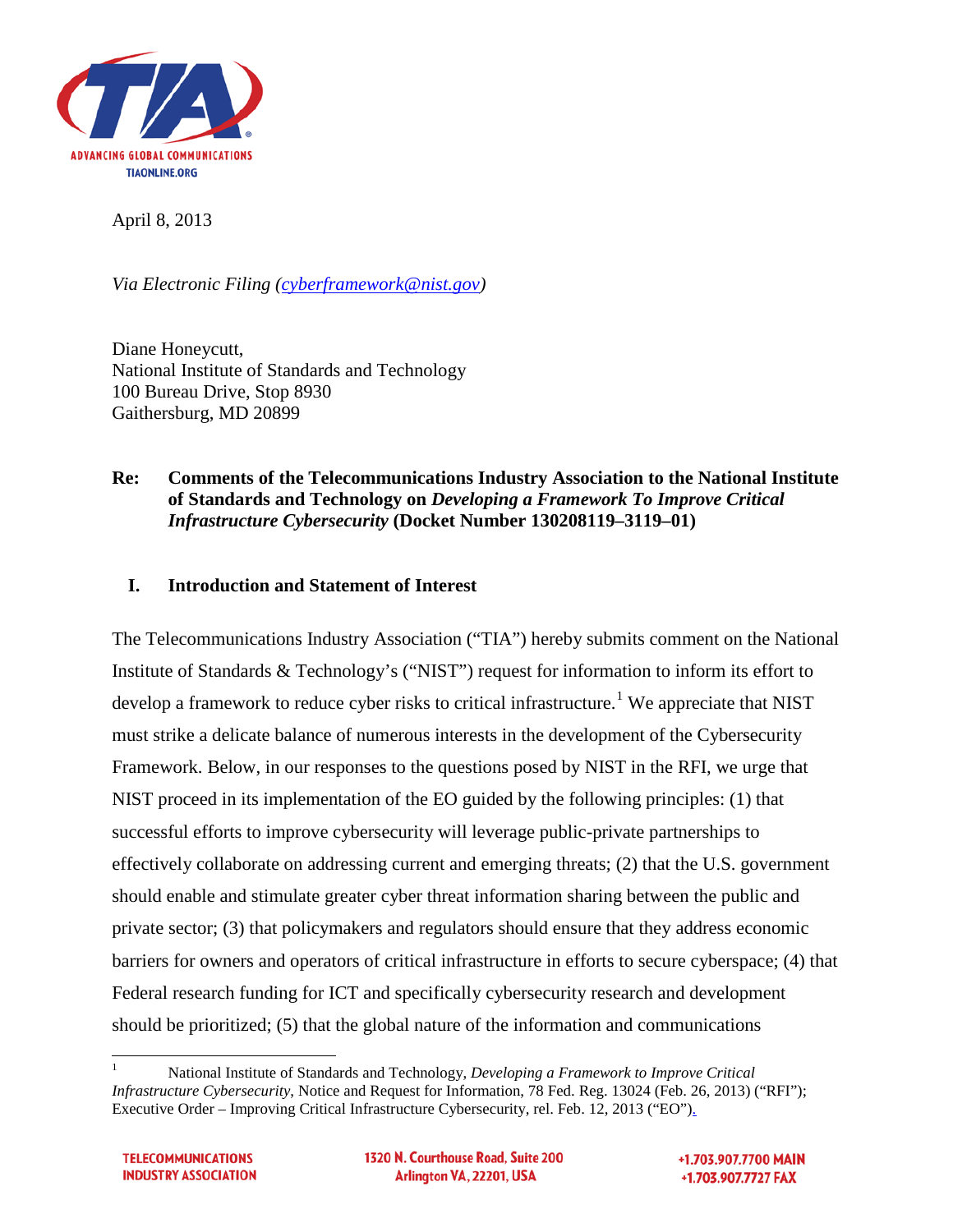

April 8, 2013

*Via Electronic Filing [\(cyberframework@nist.gov\)](mailto:cyberframework@nist.gov)*

Diane Honeycutt, National Institute of Standards and Technology 100 Bureau Drive, Stop 8930 Gaithersburg, MD 20899

# **Re: Comments of the Telecommunications Industry Association to the National Institute of Standards and Technology on** *Developing a Framework To Improve Critical Infrastructure Cybersecurity* **(Docket Number 130208119–3119–01)**

# **I. Introduction and Statement of Interest**

The Telecommunications Industry Association ("TIA") hereby submits comment on the National Institute of Standards & Technology's ("NIST") request for information to inform its effort to develop a framework to reduce cyber risks to critical infrastructure.<sup>[1](#page-0-0)</sup> We appreciate that NIST must strike a delicate balance of numerous interests in the development of the Cybersecurity Framework. Below, in our responses to the questions posed by NIST in the RFI, we urge that NIST proceed in its implementation of the EO guided by the following principles: (1) that successful efforts to improve cybersecurity will leverage public-private partnerships to effectively collaborate on addressing current and emerging threats; (2) that the U.S. government should enable and stimulate greater cyber threat information sharing between the public and private sector; (3) that policymakers and regulators should ensure that they address economic barriers for owners and operators of critical infrastructure in efforts to secure cyberspace; (4) that Federal research funding for ICT and specifically cybersecurity research and development should be prioritized; (5) that the global nature of the information and communications

<span id="page-0-0"></span><sup>1</sup> National Institute of Standards and Technology, *Developing a Framework to Improve Critical Infrastructure Cybersecurity*, Notice and Request for Information, 78 Fed. Reg. 13024 (Feb. 26, 2013) ("RFI"); Executive Order – Improving Critical Infrastructure Cybersecurity, rel. Feb. 12, 2013 ("EO").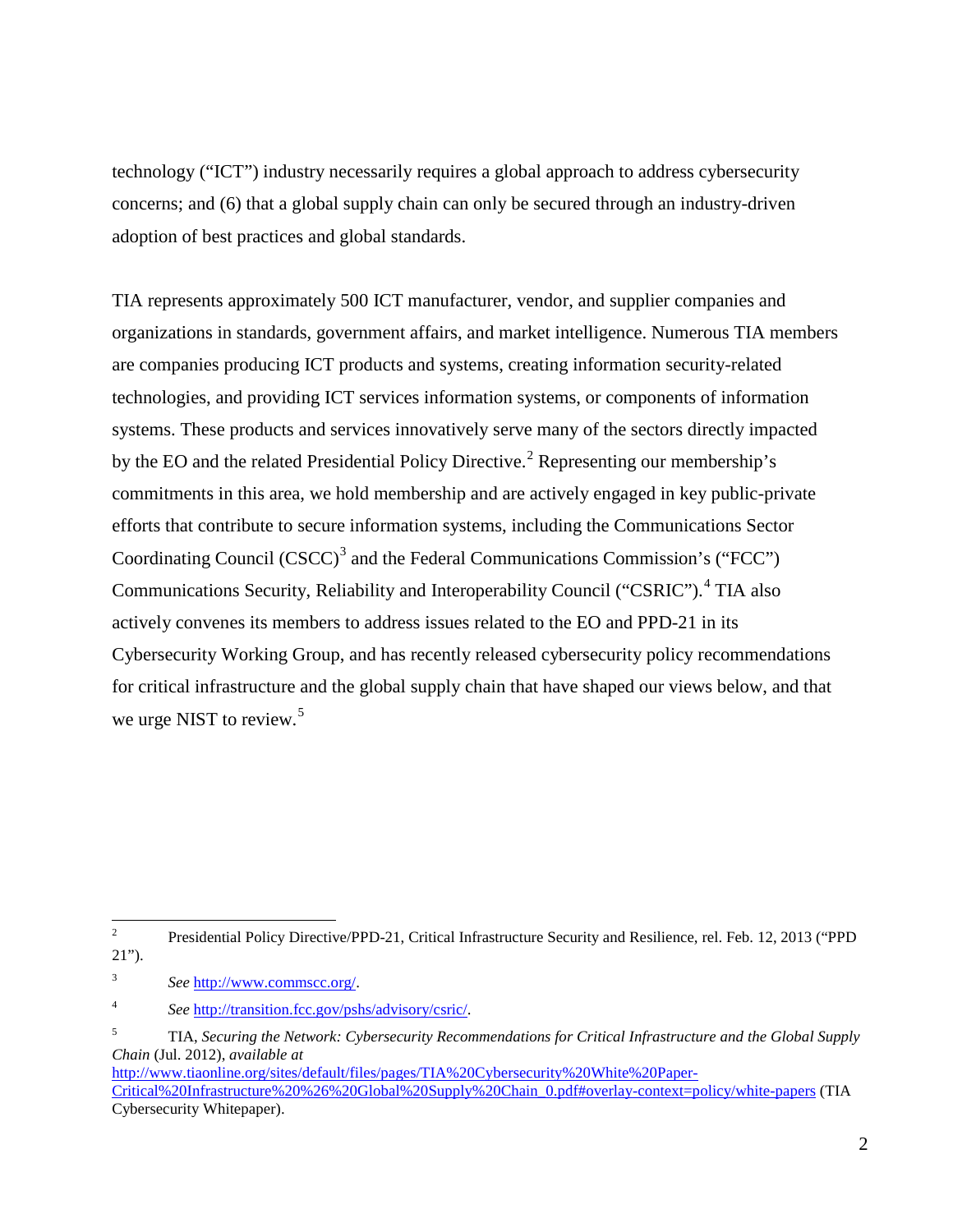technology ("ICT") industry necessarily requires a global approach to address cybersecurity concerns; and (6) that a global supply chain can only be secured through an industry-driven adoption of best practices and global standards.

TIA represents approximately 500 ICT manufacturer, vendor, and supplier companies and organizations in standards, government affairs, and market intelligence. Numerous TIA members are companies producing ICT products and systems, creating information security-related technologies, and providing ICT services information systems, or components of information systems. These products and services innovatively serve many of the sectors directly impacted by the EO and the related Presidential Policy Directive.<sup>[2](#page-1-0)</sup> Representing our membership's commitments in this area, we hold membership and are actively engaged in key public-private efforts that contribute to secure information systems, including the Communications Sector Coordinating Council  $(CSCC)^3$  $(CSCC)^3$  and the Federal Communications Commission's ("FCC") Communications Security, Reliability and Interoperability Council ("CSRIC").<sup>[4](#page-1-2)</sup> TIA also actively convenes its members to address issues related to the EO and PPD-21 in its Cybersecurity Working Group, and has recently released cybersecurity policy recommendations for critical infrastructure and the global supply chain that have shaped our views below, and that we urge NIST to review.<sup>[5](#page-1-3)</sup>

<span id="page-1-0"></span><sup>&</sup>lt;sup>2</sup> Presidential Policy Directive/PPD-21, Critical Infrastructure Security and Resilience, rel. Feb. 12, 2013 ("PPD  $21$ ").

<span id="page-1-1"></span><sup>3</sup> *See* [http://www.commscc.org/.](http://www.commscc.org/)

<span id="page-1-2"></span><sup>4</sup> *See* [http://transition.fcc.gov/pshs/advisory/csric/.](http://transition.fcc.gov/pshs/advisory/csric/) 

<span id="page-1-3"></span><sup>5</sup> TIA, *Securing the Network: Cybersecurity Recommendations for Critical Infrastructure and the Global Supply Chain* (Jul. 2012), *available at* [http://www.tiaonline.org/sites/default/files/pages/TIA%20Cybersecurity%20White%20Paper-](http://www.tiaonline.org/sites/default/files/pages/TIA%20Cybersecurity%20White%20Paper-Critical%20Infrastructure%20%26%20Global%20Supply%20Chain_0.pdf#overlay-context=policy/white-papers)

[Critical%20Infrastructure%20%26%20Global%20Supply%20Chain\\_0.pdf#overlay-context=policy/white-papers](http://www.tiaonline.org/sites/default/files/pages/TIA%20Cybersecurity%20White%20Paper-Critical%20Infrastructure%20%26%20Global%20Supply%20Chain_0.pdf#overlay-context=policy/white-papers) (TIA Cybersecurity Whitepaper).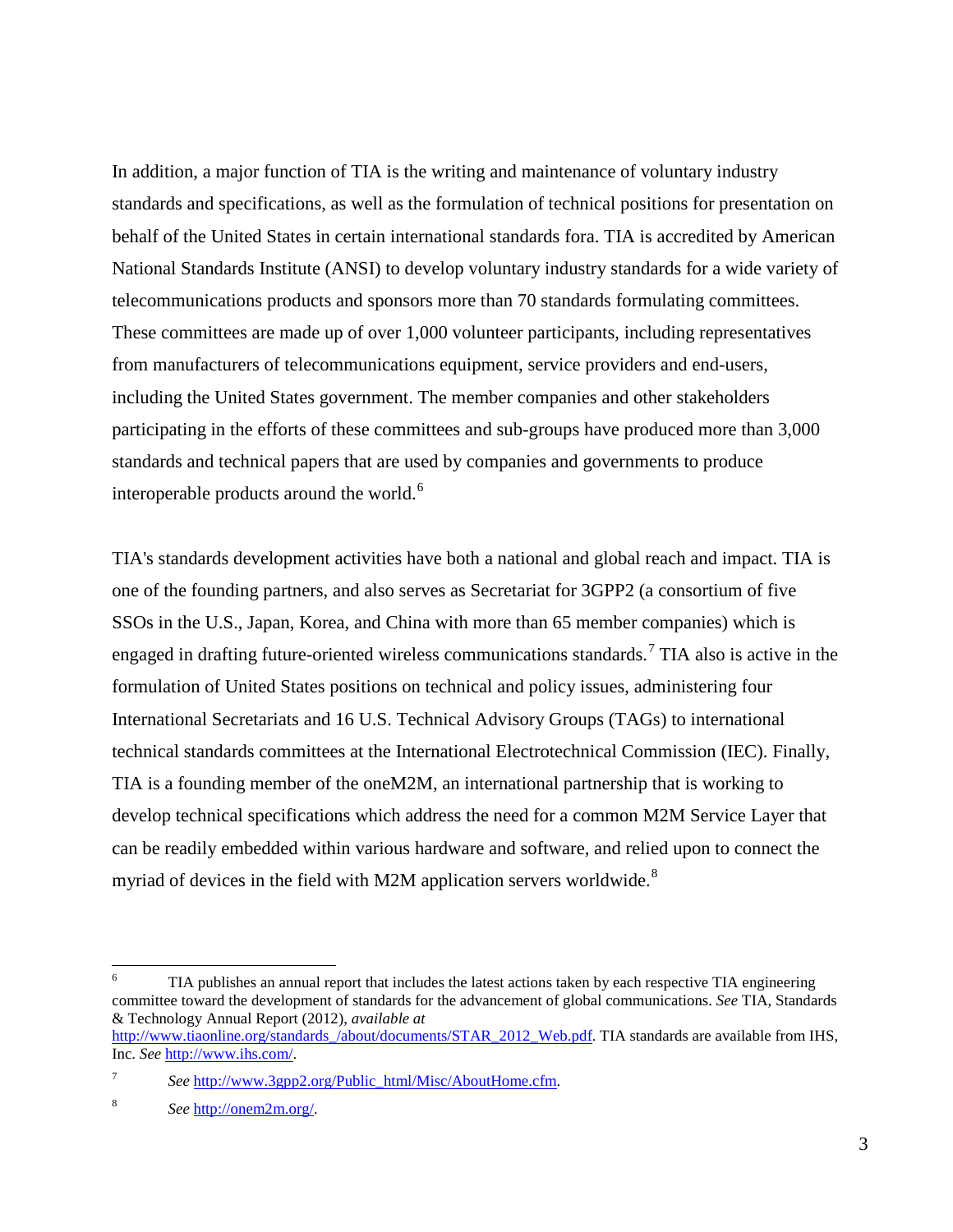In addition, a major function of TIA is the writing and maintenance of voluntary industry standards and specifications, as well as the formulation of technical positions for presentation on behalf of the United States in certain international standards fora. TIA is accredited by American National Standards Institute (ANSI) to develop voluntary industry standards for a wide variety of telecommunications products and sponsors more than 70 standards formulating committees. These committees are made up of over 1,000 volunteer participants, including representatives from manufacturers of telecommunications equipment, service providers and end-users, including the United States government. The member companies and other stakeholders participating in the efforts of these committees and sub-groups have produced more than 3,000 standards and technical papers that are used by companies and governments to produce interoperable products around the world.<sup>[6](#page-2-0)</sup>

TIA's standards development activities have both a national and global reach and impact. TIA is one of the founding partners, and also serves as Secretariat for 3GPP2 (a consortium of five SSOs in the U.S., Japan, Korea, and China with more than 65 member companies) which is engaged in drafting future-oriented wireless communications standards.<sup>[7](#page-2-1)</sup> TIA also is active in the formulation of United States positions on technical and policy issues, administering four International Secretariats and 16 U.S. Technical Advisory Groups (TAGs) to international technical standards committees at the International Electrotechnical Commission (IEC). Finally, TIA is a founding member of the oneM2M, an international partnership that is working to develop technical specifications which address the need for a common M2M Service Layer that can be readily embedded within various hardware and software, and relied upon to connect the myriad of devices in the field with M2M application servers worldwide.<sup>[8](#page-2-2)</sup>

<span id="page-2-0"></span>TIA publishes an annual report that includes the latest actions taken by each respective TIA engineering committee toward the development of standards for the advancement of global communications. *See* TIA, Standards & Technology Annual Report (2012), *available at*

[http://www.tiaonline.org/standards\\_/about/documents/STAR\\_2012\\_Web.pdf.](http://www.tiaonline.org/standards_/about/documents/STAR_2012_Web.pdf) TIA standards are available from IHS, Inc. *See* [http://www.ihs.com/.](http://www.ihs.com/)

<span id="page-2-1"></span><sup>7</sup> *See* [http://www.3gpp2.org/Public\\_html/Misc/AboutHome.cfm.](http://www.3gpp2.org/Public_html/Misc/AboutHome.cfm)

<span id="page-2-2"></span><sup>8</sup> *See* [http://onem2m.org/.](http://onem2m.org/)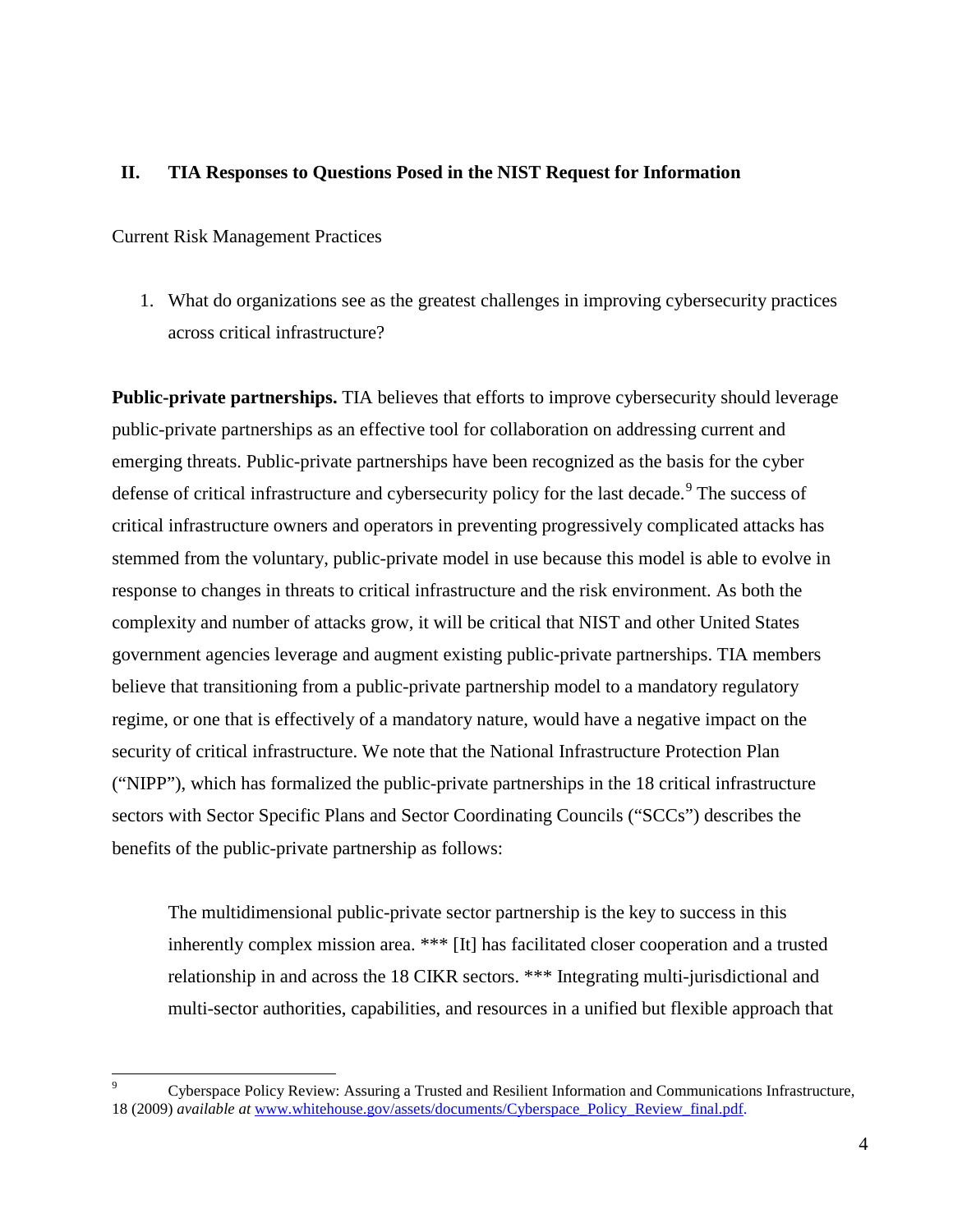### **II. TIA Responses to Questions Posed in the NIST Request for Information**

Current Risk Management Practices

1. What do organizations see as the greatest challenges in improving cybersecurity practices across critical infrastructure?

**Public-private partnerships.** TIA believes that efforts to improve cybersecurity should leverage public-private partnerships as an effective tool for collaboration on addressing current and emerging threats. Public-private partnerships have been recognized as the basis for the cyber defense of critical infrastructure and cybersecurity policy for the last decade.<sup>[9](#page-3-0)</sup> The success of critical infrastructure owners and operators in preventing progressively complicated attacks has stemmed from the voluntary, public-private model in use because this model is able to evolve in response to changes in threats to critical infrastructure and the risk environment. As both the complexity and number of attacks grow, it will be critical that NIST and other United States government agencies leverage and augment existing public-private partnerships. TIA members believe that transitioning from a public-private partnership model to a mandatory regulatory regime, or one that is effectively of a mandatory nature, would have a negative impact on the security of critical infrastructure. We note that the National Infrastructure Protection Plan ("NIPP"), which has formalized the public-private partnerships in the 18 critical infrastructure sectors with Sector Specific Plans and Sector Coordinating Councils ("SCCs") describes the benefits of the public-private partnership as follows:

The multidimensional public-private sector partnership is the key to success in this inherently complex mission area. \*\*\* [It] has facilitated closer cooperation and a trusted relationship in and across the 18 CIKR sectors. \*\*\* Integrating multi-jurisdictional and multi-sector authorities, capabilities, and resources in a unified but flexible approach that

<span id="page-3-0"></span><sup>9</sup> Cyberspace Policy Review: Assuring a Trusted and Resilient Information and Communications Infrastructure, 18 (2009) *available at* [www.whitehouse.gov/assets/documents/Cyberspace\\_Policy\\_Review\\_final.pdf.](http://www.whitehouse.gov/assets/documents/Cyberspace_Policy_Review_final.pdf)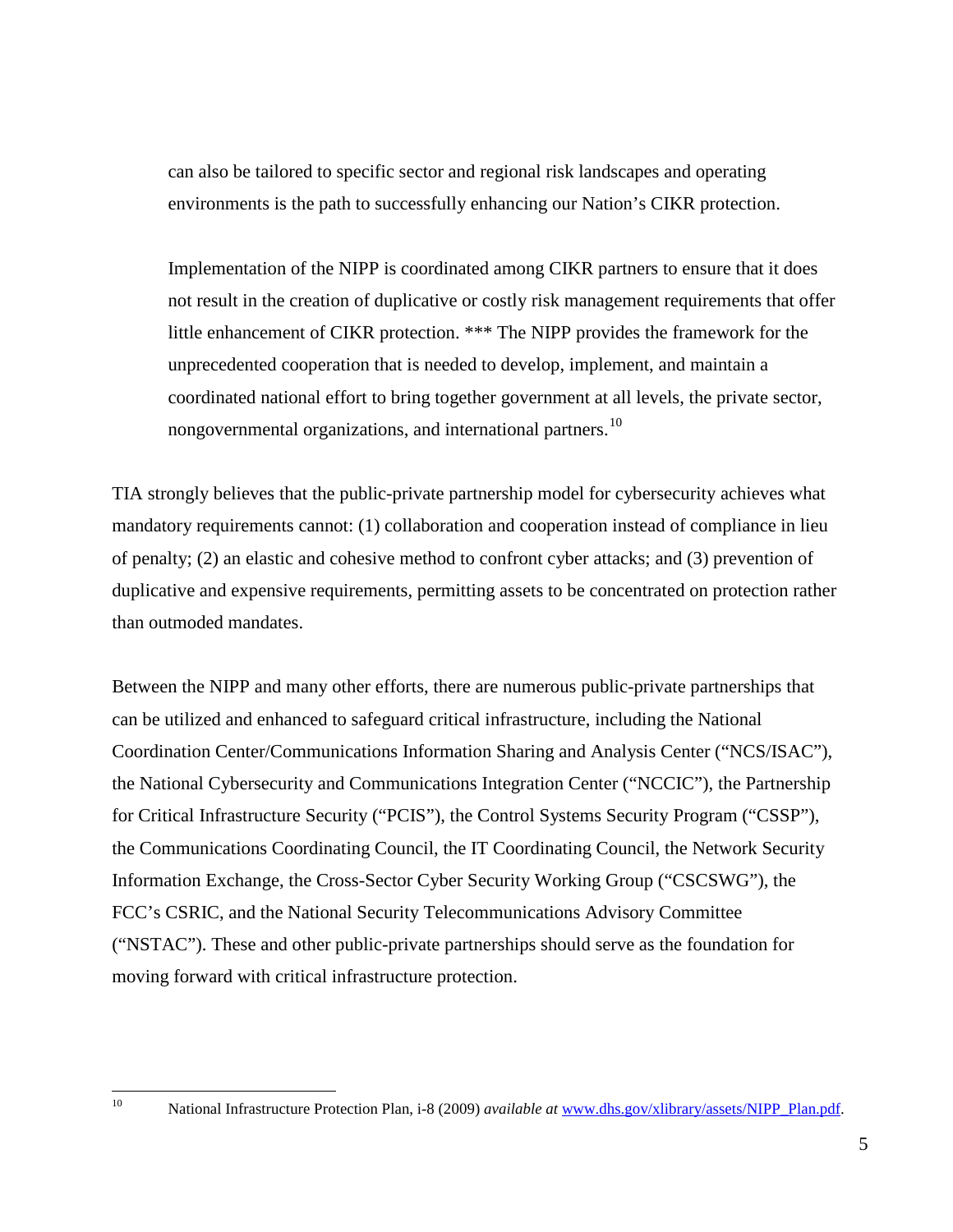can also be tailored to specific sector and regional risk landscapes and operating environments is the path to successfully enhancing our Nation's CIKR protection.

Implementation of the NIPP is coordinated among CIKR partners to ensure that it does not result in the creation of duplicative or costly risk management requirements that offer little enhancement of CIKR protection. \*\*\* The NIPP provides the framework for the unprecedented cooperation that is needed to develop, implement, and maintain a coordinated national effort to bring together government at all levels, the private sector, nongovernmental organizations, and international partners.<sup>[10](#page-4-0)</sup>

TIA strongly believes that the public-private partnership model for cybersecurity achieves what mandatory requirements cannot: (1) collaboration and cooperation instead of compliance in lieu of penalty; (2) an elastic and cohesive method to confront cyber attacks; and (3) prevention of duplicative and expensive requirements, permitting assets to be concentrated on protection rather than outmoded mandates.

Between the NIPP and many other efforts, there are numerous public-private partnerships that can be utilized and enhanced to safeguard critical infrastructure, including the National Coordination Center/Communications Information Sharing and Analysis Center ("NCS/ISAC"), the National Cybersecurity and Communications Integration Center ("NCCIC"), the Partnership for Critical Infrastructure Security ("PCIS"), the Control Systems Security Program ("CSSP"), the Communications Coordinating Council, the IT Coordinating Council, the Network Security Information Exchange, the Cross-Sector Cyber Security Working Group ("CSCSWG"), the FCC's CSRIC, and the National Security Telecommunications Advisory Committee ("NSTAC"). These and other public-private partnerships should serve as the foundation for moving forward with critical infrastructure protection.

<span id="page-4-0"></span><sup>10</sup> National Infrastructure Protection Plan, i-8 (2009) *available at* [www.dhs.gov/xlibrary/assets/NIPP\\_Plan.pdf.](http://www.dhs.gov/xlibrary/assets/NIPP_Plan.pdf)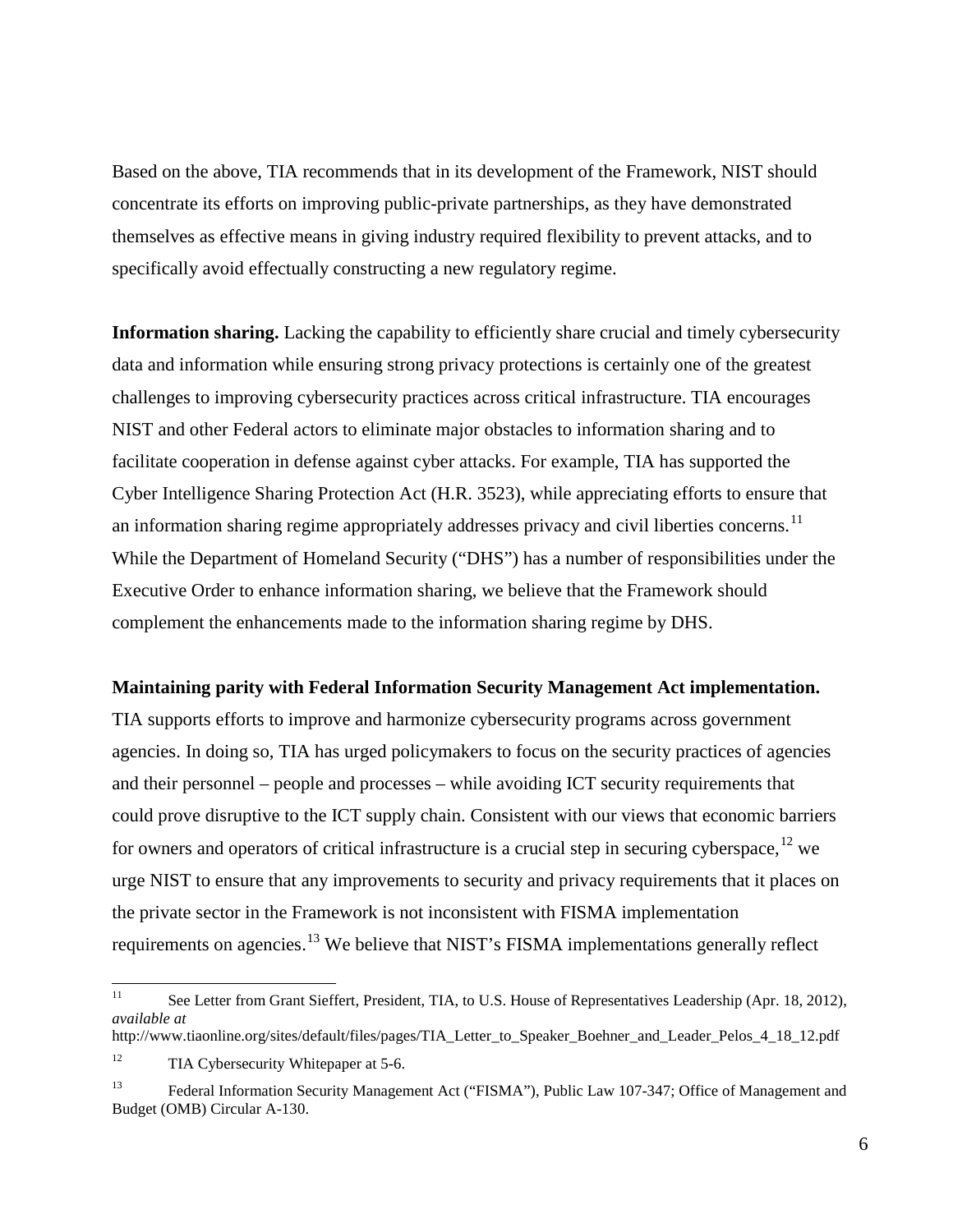Based on the above, TIA recommends that in its development of the Framework, NIST should concentrate its efforts on improving public-private partnerships, as they have demonstrated themselves as effective means in giving industry required flexibility to prevent attacks, and to specifically avoid effectually constructing a new regulatory regime.

**Information sharing.** Lacking the capability to efficiently share crucial and timely cybersecurity data and information while ensuring strong privacy protections is certainly one of the greatest challenges to improving cybersecurity practices across critical infrastructure. TIA encourages NIST and other Federal actors to eliminate major obstacles to information sharing and to facilitate cooperation in defense against cyber attacks. For example, TIA has supported the Cyber Intelligence Sharing Protection Act (H.R. 3523), while appreciating efforts to ensure that an information sharing regime appropriately addresses privacy and civil liberties concerns.<sup>[11](#page-5-0)</sup> While the Department of Homeland Security ("DHS") has a number of responsibilities under the Executive Order to enhance information sharing, we believe that the Framework should complement the enhancements made to the information sharing regime by DHS.

#### **Maintaining parity with Federal Information Security Management Act implementation.**

TIA supports efforts to improve and harmonize cybersecurity programs across government agencies. In doing so, TIA has urged policymakers to focus on the security practices of agencies and their personnel – people and processes – while avoiding ICT security requirements that could prove disruptive to the ICT supply chain. Consistent with our views that economic barriers for owners and operators of critical infrastructure is a crucial step in securing cyberspace,  $^{12}$  $^{12}$  $^{12}$  we urge NIST to ensure that any improvements to security and privacy requirements that it places on the private sector in the Framework is not inconsistent with FISMA implementation requirements on agencies.<sup>[13](#page-5-2)</sup> We believe that NIST's FISMA implementations generally reflect

<span id="page-5-0"></span><sup>&</sup>lt;sup>11</sup> See Letter from Grant Sieffert, President, TIA, to U.S. House of Representatives Leadership (Apr. 18, 2012), *available at*

http://www.tiaonline.org/sites/default/files/pages/TIA\_Letter\_to\_Speaker\_Boehner\_and\_Leader\_Pelos\_4\_18\_12.pdf

<span id="page-5-1"></span><sup>&</sup>lt;sup>12</sup> TIA Cybersecurity Whitepaper at 5-6.

<span id="page-5-2"></span><sup>13</sup> Federal Information Security Management Act ("FISMA"), Public Law 107-347; Office of Management and Budget (OMB) Circular A-130.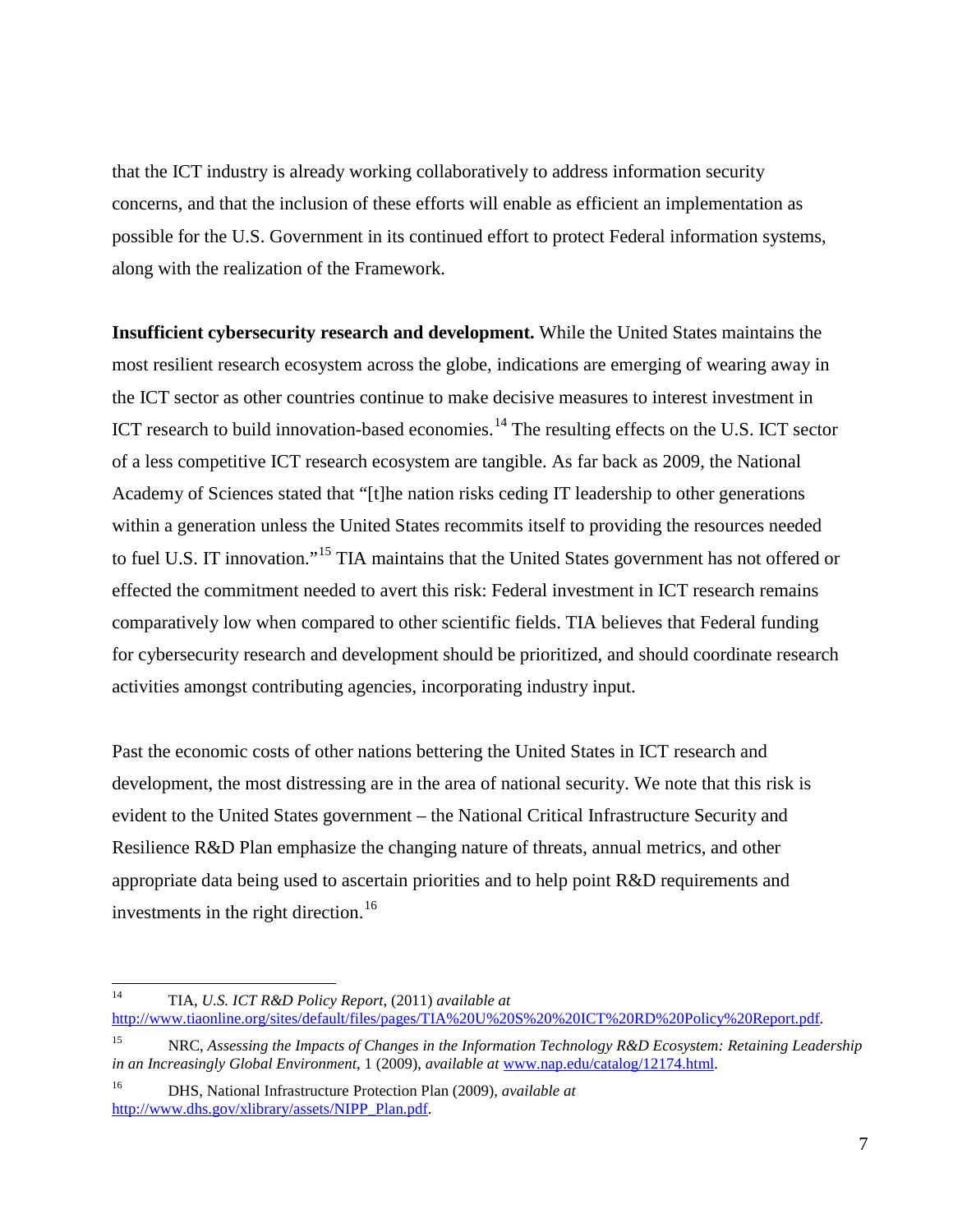that the ICT industry is already working collaboratively to address information security concerns, and that the inclusion of these efforts will enable as efficient an implementation as possible for the U.S. Government in its continued effort to protect Federal information systems, along with the realization of the Framework.

**Insufficient cybersecurity research and development.** While the United States maintains the most resilient research ecosystem across the globe, indications are emerging of wearing away in the ICT sector as other countries continue to make decisive measures to interest investment in ICT research to build innovation-based economies.<sup>[14](#page-6-0)</sup> The resulting effects on the U.S. ICT sector of a less competitive ICT research ecosystem are tangible. As far back as 2009, the National Academy of Sciences stated that "[t]he nation risks ceding IT leadership to other generations within a generation unless the United States recommits itself to providing the resources needed to fuel U.S. IT innovation."[15](#page-6-1) TIA maintains that the United States government has not offered or effected the commitment needed to avert this risk: Federal investment in ICT research remains comparatively low when compared to other scientific fields. TIA believes that Federal funding for cybersecurity research and development should be prioritized, and should coordinate research activities amongst contributing agencies, incorporating industry input.

Past the economic costs of other nations bettering the United States in ICT research and development, the most distressing are in the area of national security. We note that this risk is evident to the United States government – the National Critical Infrastructure Security and Resilience R&D Plan emphasize the changing nature of threats, annual metrics, and other appropriate data being used to ascertain priorities and to help point R&D requirements and investments in the right direction. [16](#page-6-2)

<span id="page-6-0"></span><sup>14</sup> TIA, *U.S. ICT R&D Policy Report*, (2011) *available at* [http://www.tiaonline.org/sites/default/files/pages/TIA%20U%20S%20%20ICT%20RD%20Policy%20Report.pdf.](http://www.tiaonline.org/sites/default/files/pages/TIA%20U%20S%20%20ICT%20RD%20Policy%20Report.pdf)

<span id="page-6-1"></span><sup>15</sup> NRC, *Assessing the Impacts of Changes in the Information Technology R&D Ecosystem: Retaining Leadership in an Increasingly Global Environment*, 1 (2009), *available at* [www.nap.edu/catalog/12174.html.](http://www.nap.edu/catalog/12174.html)

<span id="page-6-2"></span><sup>16</sup> DHS, National Infrastructure Protection Plan (2009), *available at* [http://www.dhs.gov/xlibrary/assets/NIPP\\_Plan.pdf.](http://www.dhs.gov/xlibrary/assets/NIPP_Plan.pdf)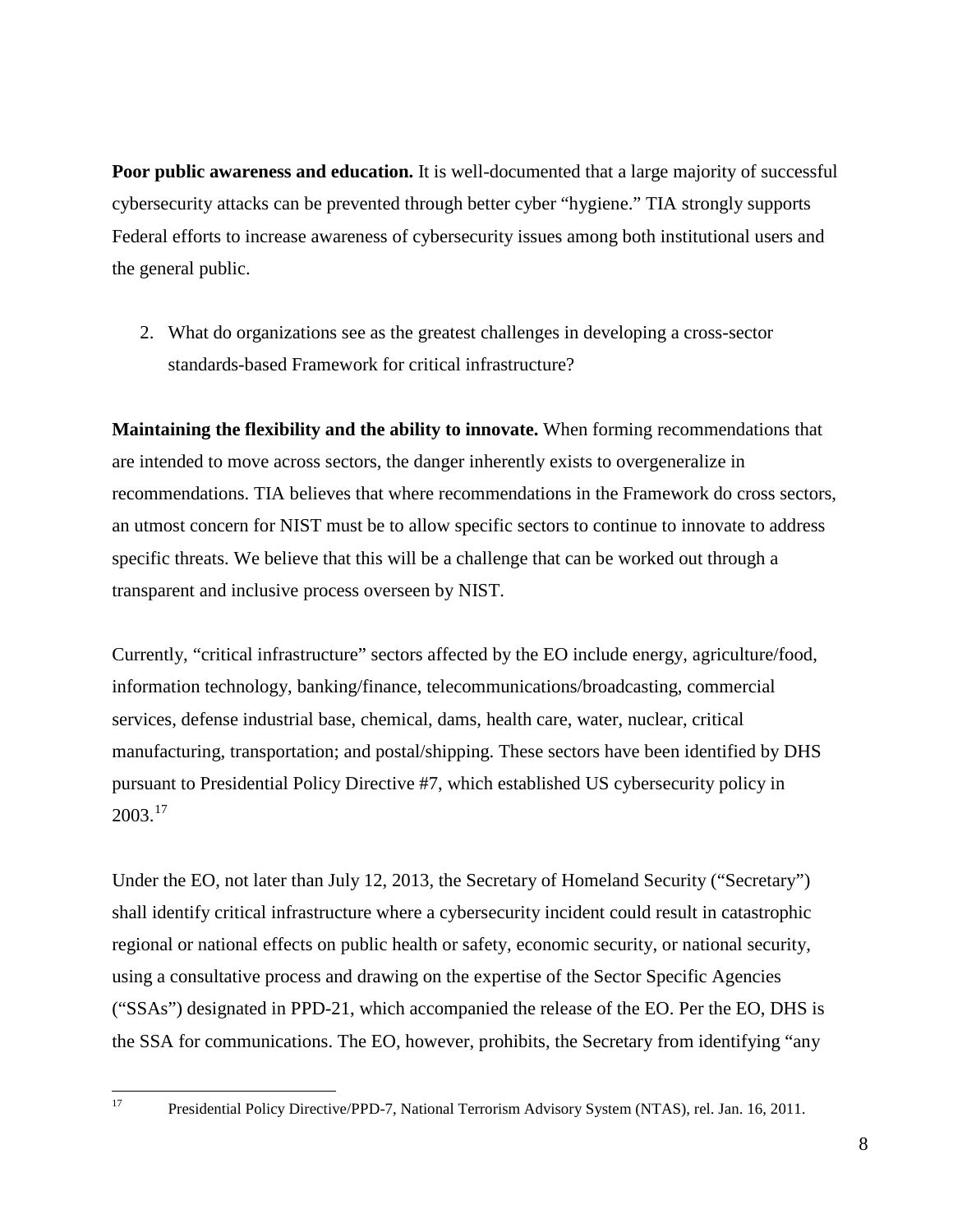**Poor public awareness and education.** It is well-documented that a large majority of successful cybersecurity attacks can be prevented through better cyber "hygiene." TIA strongly supports Federal efforts to increase awareness of cybersecurity issues among both institutional users and the general public.

2. What do organizations see as the greatest challenges in developing a cross-sector standards-based Framework for critical infrastructure?

**Maintaining the flexibility and the ability to innovate.** When forming recommendations that are intended to move across sectors, the danger inherently exists to overgeneralize in recommendations. TIA believes that where recommendations in the Framework do cross sectors, an utmost concern for NIST must be to allow specific sectors to continue to innovate to address specific threats. We believe that this will be a challenge that can be worked out through a transparent and inclusive process overseen by NIST.

Currently, "critical infrastructure" sectors affected by the EO include energy, agriculture/food, information technology, banking/finance, telecommunications/broadcasting, commercial services, defense industrial base, chemical, dams, health care, water, nuclear, critical manufacturing, transportation; and postal/shipping. These sectors have been identified by DHS pursuant to Presidential Policy Directive #7, which established US cybersecurity policy in  $2003.<sup>17</sup>$  $2003.<sup>17</sup>$  $2003.<sup>17</sup>$ 

Under the EO, not later than July 12, 2013, the Secretary of Homeland Security ("Secretary") shall identify critical infrastructure where a cybersecurity incident could result in catastrophic regional or national effects on public health or safety, economic security, or national security, using a consultative process and drawing on the expertise of the Sector Specific Agencies ("SSAs") designated in PPD-21, which accompanied the release of the EO. Per the EO, DHS is the SSA for communications. The EO, however, prohibits, the Secretary from identifying "any

<span id="page-7-0"></span><sup>17</sup> Presidential Policy Directive/PPD-7, National Terrorism Advisory System (NTAS), rel. Jan. 16, 2011.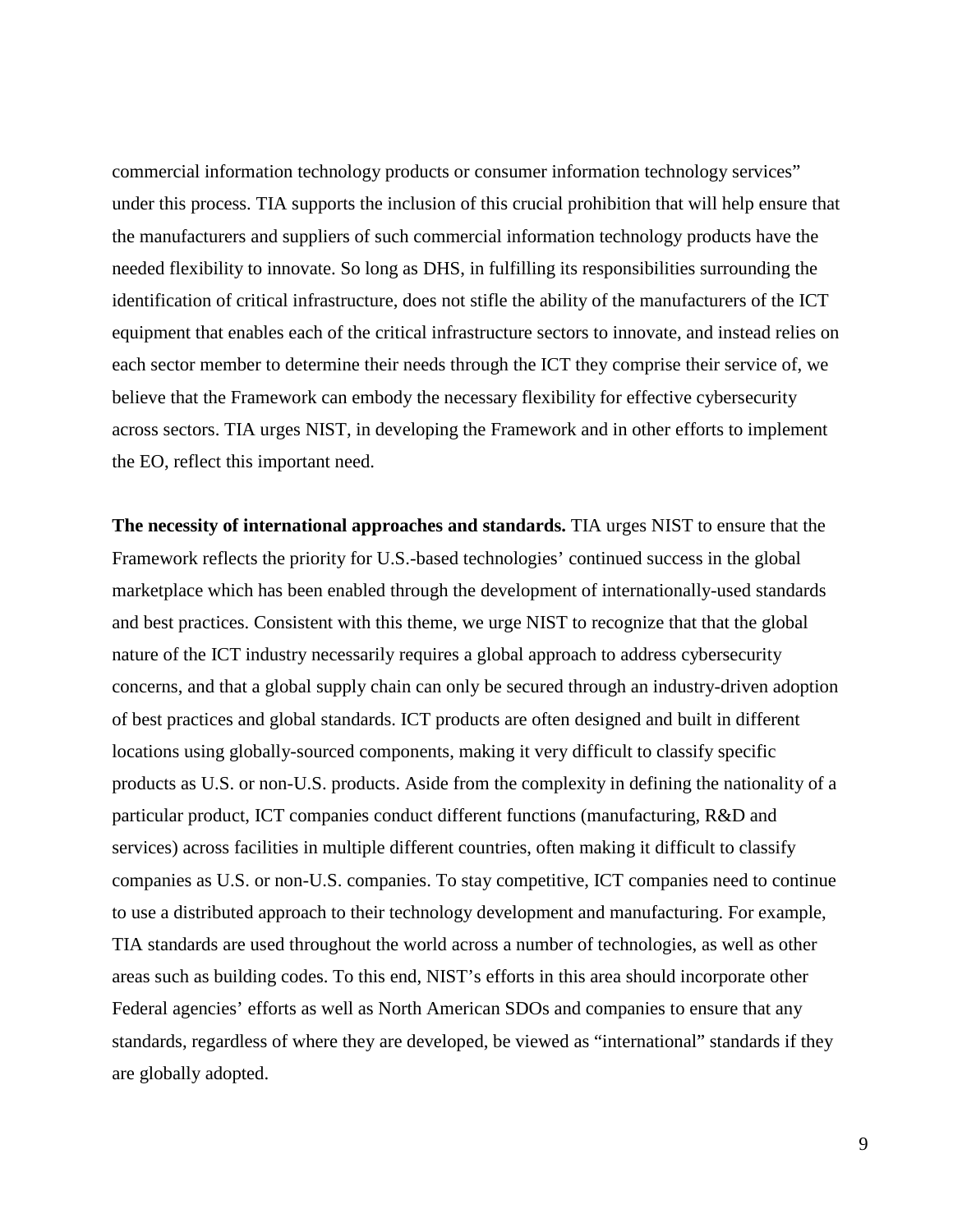commercial information technology products or consumer information technology services" under this process. TIA supports the inclusion of this crucial prohibition that will help ensure that the manufacturers and suppliers of such commercial information technology products have the needed flexibility to innovate. So long as DHS, in fulfilling its responsibilities surrounding the identification of critical infrastructure, does not stifle the ability of the manufacturers of the ICT equipment that enables each of the critical infrastructure sectors to innovate, and instead relies on each sector member to determine their needs through the ICT they comprise their service of, we believe that the Framework can embody the necessary flexibility for effective cybersecurity across sectors. TIA urges NIST, in developing the Framework and in other efforts to implement the EO, reflect this important need.

**The necessity of international approaches and standards.** TIA urges NIST to ensure that the Framework reflects the priority for U.S.-based technologies' continued success in the global marketplace which has been enabled through the development of internationally-used standards and best practices. Consistent with this theme, we urge NIST to recognize that that the global nature of the ICT industry necessarily requires a global approach to address cybersecurity concerns, and that a global supply chain can only be secured through an industry-driven adoption of best practices and global standards. ICT products are often designed and built in different locations using globally-sourced components, making it very difficult to classify specific products as U.S. or non-U.S. products. Aside from the complexity in defining the nationality of a particular product, ICT companies conduct different functions (manufacturing, R&D and services) across facilities in multiple different countries, often making it difficult to classify companies as U.S. or non-U.S. companies. To stay competitive, ICT companies need to continue to use a distributed approach to their technology development and manufacturing. For example, TIA standards are used throughout the world across a number of technologies, as well as other areas such as building codes. To this end, NIST's efforts in this area should incorporate other Federal agencies' efforts as well as North American SDOs and companies to ensure that any standards, regardless of where they are developed, be viewed as "international" standards if they are globally adopted.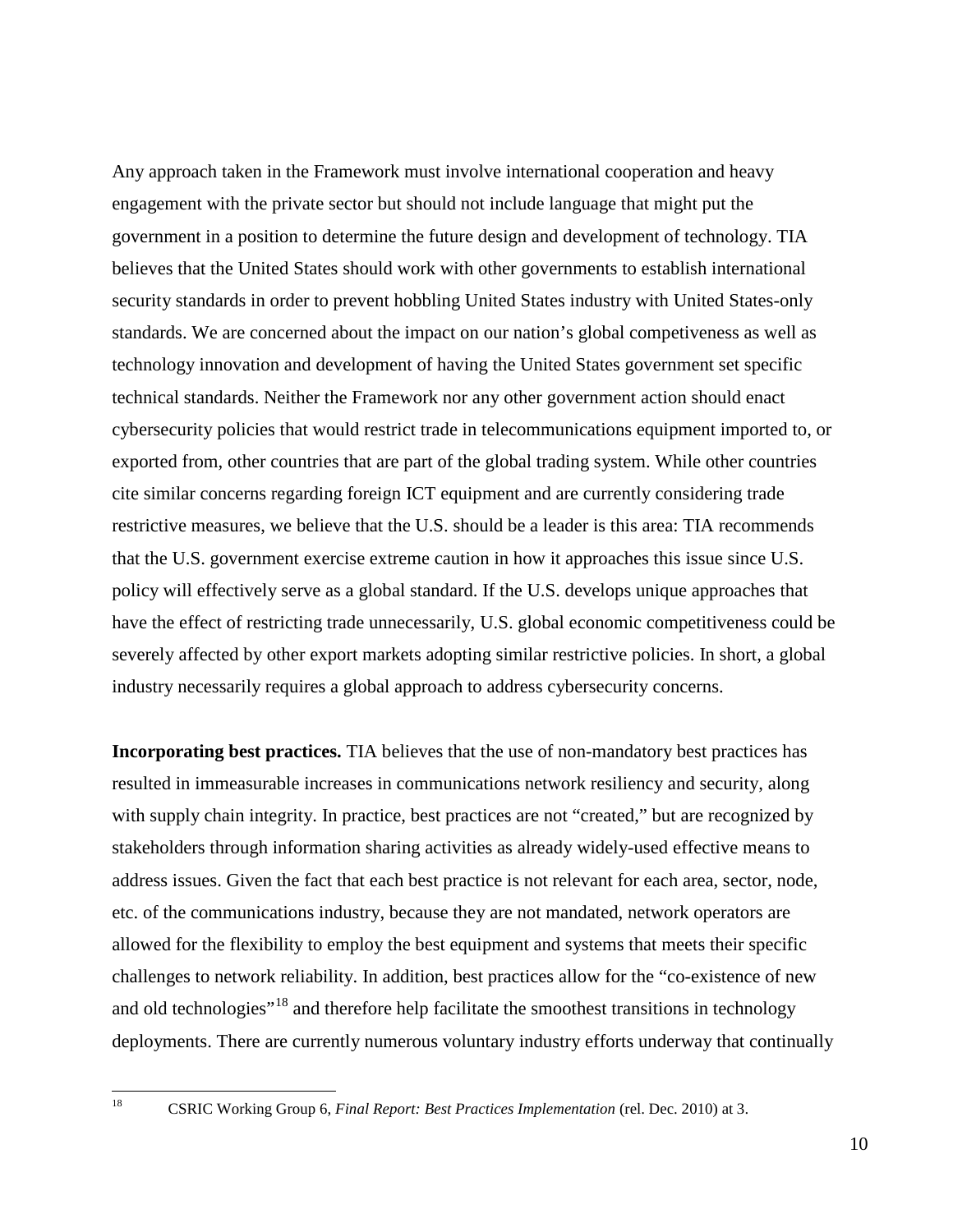Any approach taken in the Framework must involve international cooperation and heavy engagement with the private sector but should not include language that might put the government in a position to determine the future design and development of technology. TIA believes that the United States should work with other governments to establish international security standards in order to prevent hobbling United States industry with United States-only standards. We are concerned about the impact on our nation's global competiveness as well as technology innovation and development of having the United States government set specific technical standards. Neither the Framework nor any other government action should enact cybersecurity policies that would restrict trade in telecommunications equipment imported to, or exported from, other countries that are part of the global trading system. While other countries cite similar concerns regarding foreign ICT equipment and are currently considering trade restrictive measures, we believe that the U.S. should be a leader is this area: TIA recommends that the U.S. government exercise extreme caution in how it approaches this issue since U.S. policy will effectively serve as a global standard. If the U.S. develops unique approaches that have the effect of restricting trade unnecessarily, U.S. global economic competitiveness could be severely affected by other export markets adopting similar restrictive policies. In short, a global industry necessarily requires a global approach to address cybersecurity concerns.

**Incorporating best practices.** TIA believes that the use of non-mandatory best practices has resulted in immeasurable increases in communications network resiliency and security, along with supply chain integrity. In practice, best practices are not "created," but are recognized by stakeholders through information sharing activities as already widely-used effective means to address issues. Given the fact that each best practice is not relevant for each area, sector, node, etc. of the communications industry, because they are not mandated, network operators are allowed for the flexibility to employ the best equipment and systems that meets their specific challenges to network reliability. In addition, best practices allow for the "co-existence of new and old technologies<sup>"[18](#page-9-0)</sup> and therefore help facilitate the smoothest transitions in technology deployments. There are currently numerous voluntary industry efforts underway that continually

<span id="page-9-0"></span><sup>18</sup> CSRIC Working Group 6, *Final Report: Best Practices Implementation* (rel. Dec. 2010) at 3.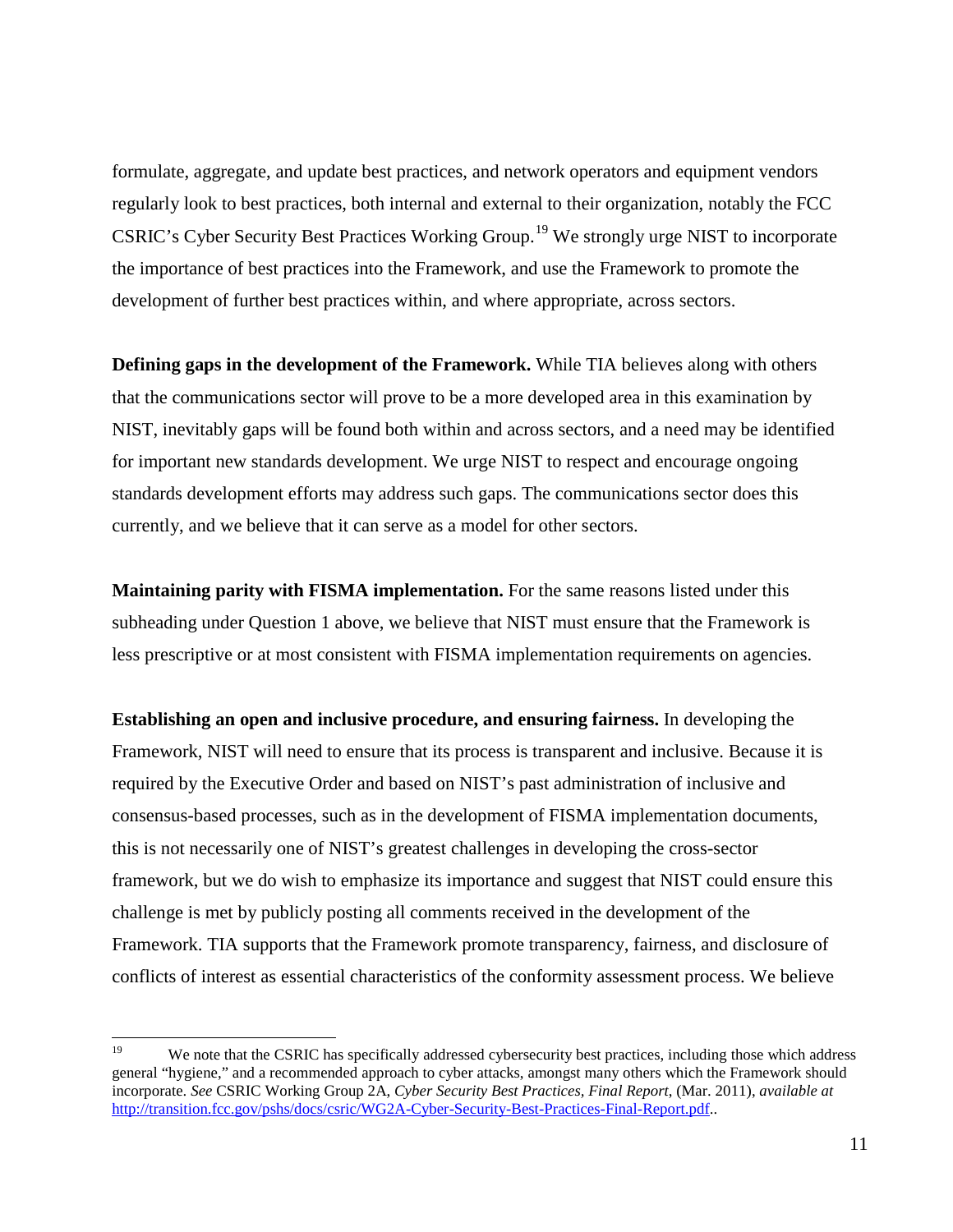formulate, aggregate, and update best practices, and network operators and equipment vendors regularly look to best practices, both internal and external to their organization, notably the FCC CSRIC's Cyber Security Best Practices Working Group.<sup>[19](#page-10-0)</sup> We strongly urge NIST to incorporate the importance of best practices into the Framework, and use the Framework to promote the development of further best practices within, and where appropriate, across sectors.

**Defining gaps in the development of the Framework.** While TIA believes along with others that the communications sector will prove to be a more developed area in this examination by NIST, inevitably gaps will be found both within and across sectors, and a need may be identified for important new standards development. We urge NIST to respect and encourage ongoing standards development efforts may address such gaps. The communications sector does this currently, and we believe that it can serve as a model for other sectors.

**Maintaining parity with FISMA implementation.** For the same reasons listed under this subheading under Question 1 above, we believe that NIST must ensure that the Framework is less prescriptive or at most consistent with FISMA implementation requirements on agencies.

**Establishing an open and inclusive procedure, and ensuring fairness.** In developing the Framework, NIST will need to ensure that its process is transparent and inclusive. Because it is required by the Executive Order and based on NIST's past administration of inclusive and consensus-based processes, such as in the development of FISMA implementation documents, this is not necessarily one of NIST's greatest challenges in developing the cross-sector framework, but we do wish to emphasize its importance and suggest that NIST could ensure this challenge is met by publicly posting all comments received in the development of the Framework. TIA supports that the Framework promote transparency, fairness, and disclosure of conflicts of interest as essential characteristics of the conformity assessment process. We believe

<span id="page-10-0"></span><sup>&</sup>lt;sup>19</sup> We note that the CSRIC has specifically addressed cybersecurity best practices, including those which address general "hygiene," and a recommended approach to cyber attacks, amongst many others which the Framework should incorporate. *See* CSRIC Working Group 2A, *Cyber Security Best Practices, Final Report*, (Mar. 2011), *available at*  [http://transition.fcc.gov/pshs/docs/csric/WG2A-Cyber-Security-Best-Practices-Final-Report.pdf.](http://transition.fcc.gov/pshs/docs/csric/WG2A-Cyber-Security-Best-Practices-Final-Report.pdf).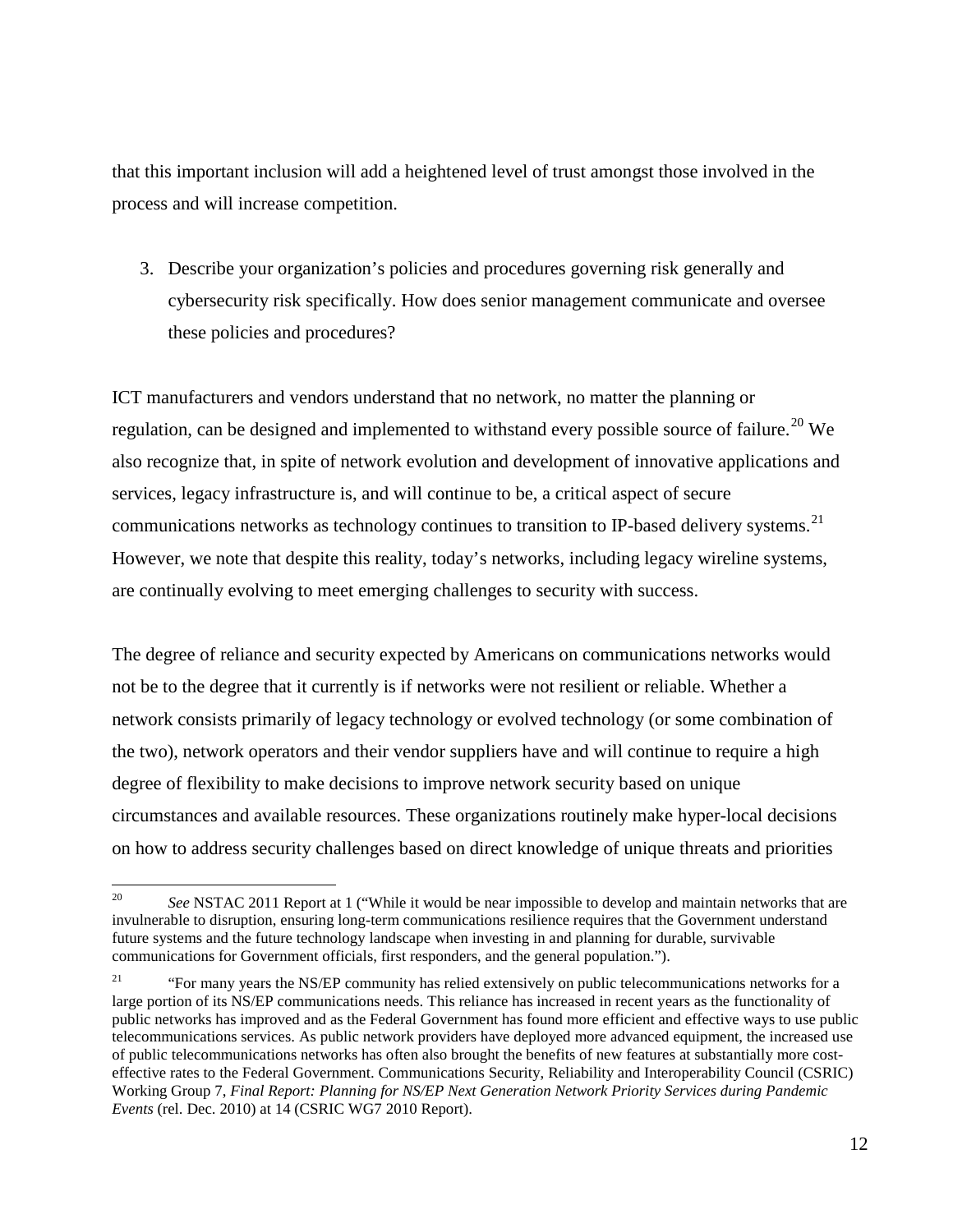that this important inclusion will add a heightened level of trust amongst those involved in the process and will increase competition.

3. Describe your organization's policies and procedures governing risk generally and cybersecurity risk specifically. How does senior management communicate and oversee these policies and procedures?

ICT manufacturers and vendors understand that no network, no matter the planning or regulation, can be designed and implemented to withstand every possible source of failure.<sup>[20](#page-11-0)</sup> We also recognize that, in spite of network evolution and development of innovative applications and services, legacy infrastructure is, and will continue to be, a critical aspect of secure communications networks as technology continues to transition to IP-based delivery systems.<sup>[21](#page-11-1)</sup> However, we note that despite this reality, today's networks, including legacy wireline systems, are continually evolving to meet emerging challenges to security with success.

The degree of reliance and security expected by Americans on communications networks would not be to the degree that it currently is if networks were not resilient or reliable. Whether a network consists primarily of legacy technology or evolved technology (or some combination of the two), network operators and their vendor suppliers have and will continue to require a high degree of flexibility to make decisions to improve network security based on unique circumstances and available resources. These organizations routinely make hyper-local decisions on how to address security challenges based on direct knowledge of unique threats and priorities

<span id="page-11-0"></span><sup>&</sup>lt;sup>20</sup> *See* NSTAC 2011 Report at 1 ("While it would be near impossible to develop and maintain networks that are invulnerable to disruption, ensuring long-term communications resilience requires that the Government understand future systems and the future technology landscape when investing in and planning for durable, survivable communications for Government officials, first responders, and the general population.").

<span id="page-11-1"></span><sup>&</sup>lt;sup>21</sup> "For many years the NS/EP community has relied extensively on public telecommunications networks for a large portion of its NS/EP communications needs. This reliance has increased in recent years as the functionality of public networks has improved and as the Federal Government has found more efficient and effective ways to use public telecommunications services. As public network providers have deployed more advanced equipment, the increased use of public telecommunications networks has often also brought the benefits of new features at substantially more costeffective rates to the Federal Government. Communications Security, Reliability and Interoperability Council (CSRIC) Working Group 7, *Final Report: Planning for NS/EP Next Generation Network Priority Services during Pandemic Events* (rel. Dec. 2010) at 14 (CSRIC WG7 2010 Report).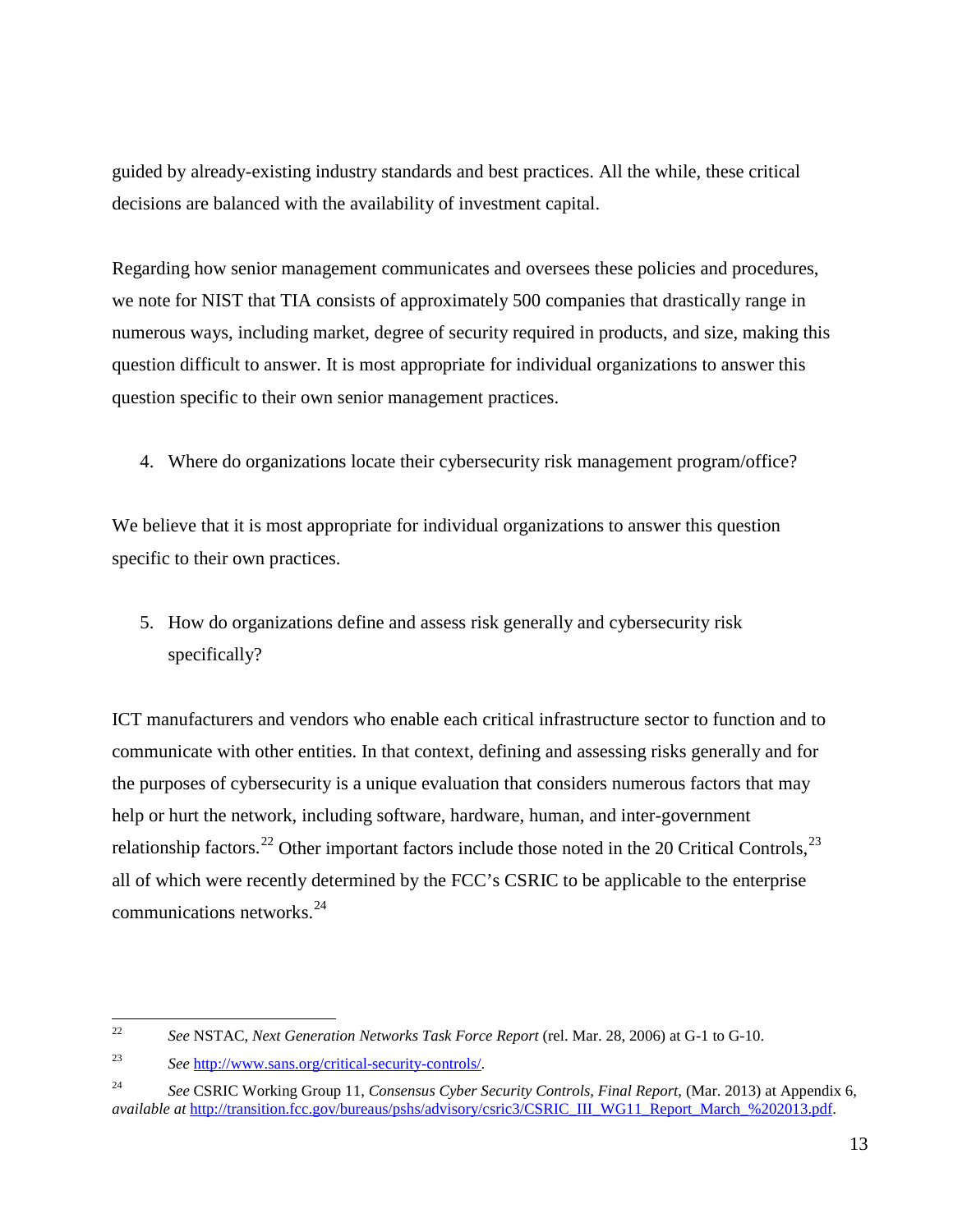guided by already-existing industry standards and best practices. All the while, these critical decisions are balanced with the availability of investment capital.

Regarding how senior management communicates and oversees these policies and procedures, we note for NIST that TIA consists of approximately 500 companies that drastically range in numerous ways, including market, degree of security required in products, and size, making this question difficult to answer. It is most appropriate for individual organizations to answer this question specific to their own senior management practices.

4. Where do organizations locate their cybersecurity risk management program/office?

We believe that it is most appropriate for individual organizations to answer this question specific to their own practices.

5. How do organizations define and assess risk generally and cybersecurity risk specifically?

ICT manufacturers and vendors who enable each critical infrastructure sector to function and to communicate with other entities. In that context, defining and assessing risks generally and for the purposes of cybersecurity is a unique evaluation that considers numerous factors that may help or hurt the network, including software, hardware, human, and inter-government relationship factors.<sup>[22](#page-12-0)</sup> Other important factors include those noted in the 20 Critical Controls,<sup>[23](#page-12-1)</sup> all of which were recently determined by the FCC's CSRIC to be applicable to the enterprise communications networks. $^{24}$  $^{24}$  $^{24}$ 

<span id="page-12-0"></span><sup>22</sup> *See* NSTAC, *Next Generation Networks Task Force Report* (rel. Mar. 28, 2006) at G-1 to G-10.

<span id="page-12-1"></span><sup>23</sup> *See* [http://www.sans.org/critical-security-controls/.](http://www.sans.org/critical-security-controls/)

<span id="page-12-2"></span><sup>24</sup> *See* CSRIC Working Group 11, *Consensus Cyber Security Controls, Final Report*, (Mar. 2013) at Appendix 6, *available at* [http://transition.fcc.gov/bureaus/pshs/advisory/csric3/CSRIC\\_III\\_WG11\\_Report\\_March\\_%202013.pdf.](http://transition.fcc.gov/bureaus/pshs/advisory/csric3/CSRIC_III_WG11_Report_March_%202013.pdf)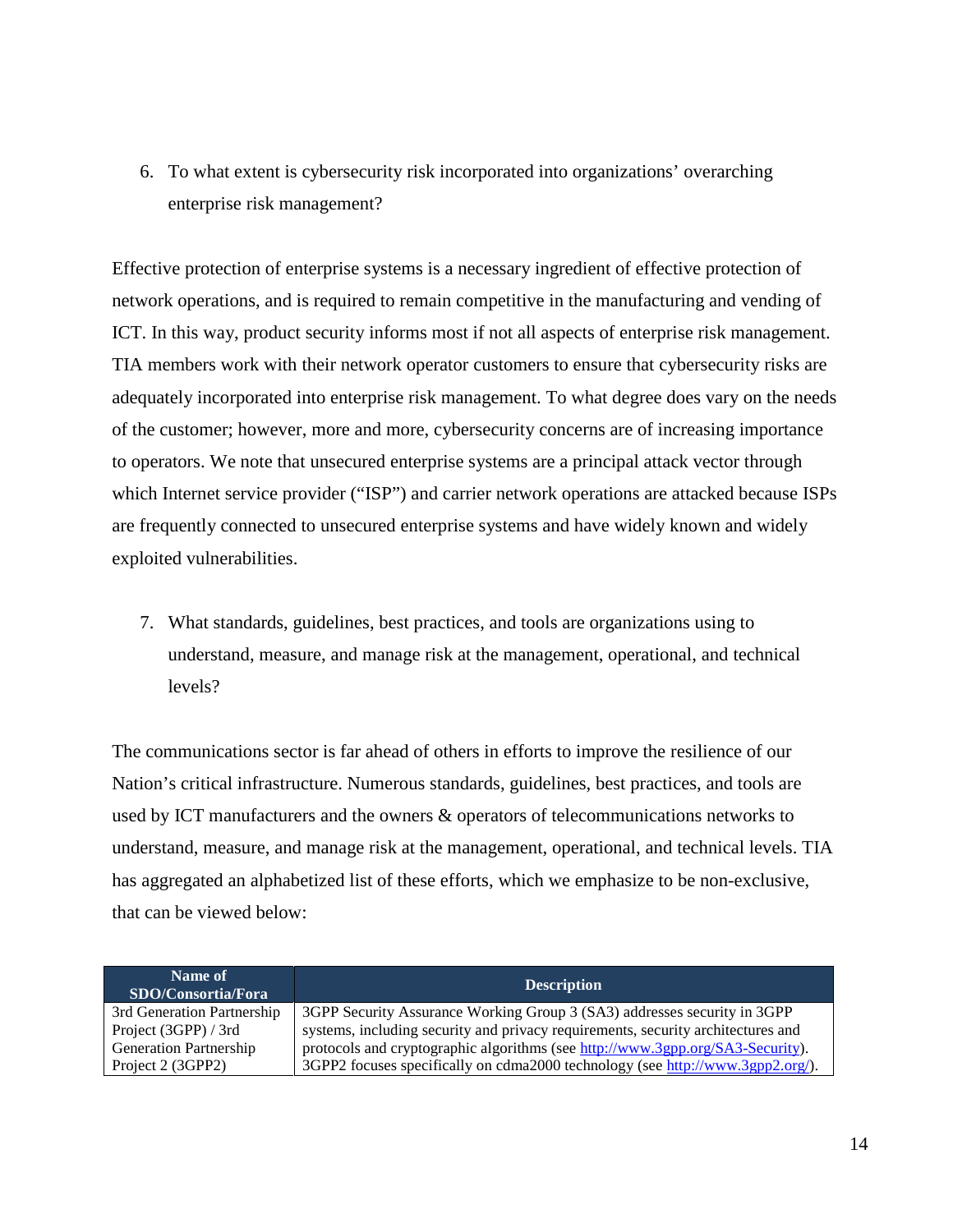6. To what extent is cybersecurity risk incorporated into organizations' overarching enterprise risk management?

Effective protection of enterprise systems is a necessary ingredient of effective protection of network operations, and is required to remain competitive in the manufacturing and vending of ICT. In this way, product security informs most if not all aspects of enterprise risk management. TIA members work with their network operator customers to ensure that cybersecurity risks are adequately incorporated into enterprise risk management. To what degree does vary on the needs of the customer; however, more and more, cybersecurity concerns are of increasing importance to operators. We note that unsecured enterprise systems are a principal attack vector through which Internet service provider ("ISP") and carrier network operations are attacked because ISPs are frequently connected to unsecured enterprise systems and have widely known and widely exploited vulnerabilities.

7. What standards, guidelines, best practices, and tools are organizations using to understand, measure, and manage risk at the management, operational, and technical levels?

The communications sector is far ahead of others in efforts to improve the resilience of our Nation's critical infrastructure. Numerous standards, guidelines, best practices, and tools are used by ICT manufacturers and the owners & operators of telecommunications networks to understand, measure, and manage risk at the management, operational, and technical levels. TIA has aggregated an alphabetized list of these efforts, which we emphasize to be non-exclusive, that can be viewed below:

| Name of<br>SDO/Consortia/Fora | <b>Description</b>                                                               |
|-------------------------------|----------------------------------------------------------------------------------|
| 3rd Generation Partnership    | 3GPP Security Assurance Working Group 3 (SA3) addresses security in 3GPP         |
| Project (3GPP) / 3rd          | systems, including security and privacy requirements, security architectures and |
| <b>Generation Partnership</b> | protocols and cryptographic algorithms (see http://www.3gpp.org/SA3-Security).   |
| Project 2 (3GPP2)             | 3GPP2 focuses specifically on cdma2000 technology (see http://www.3gpp2.org/).   |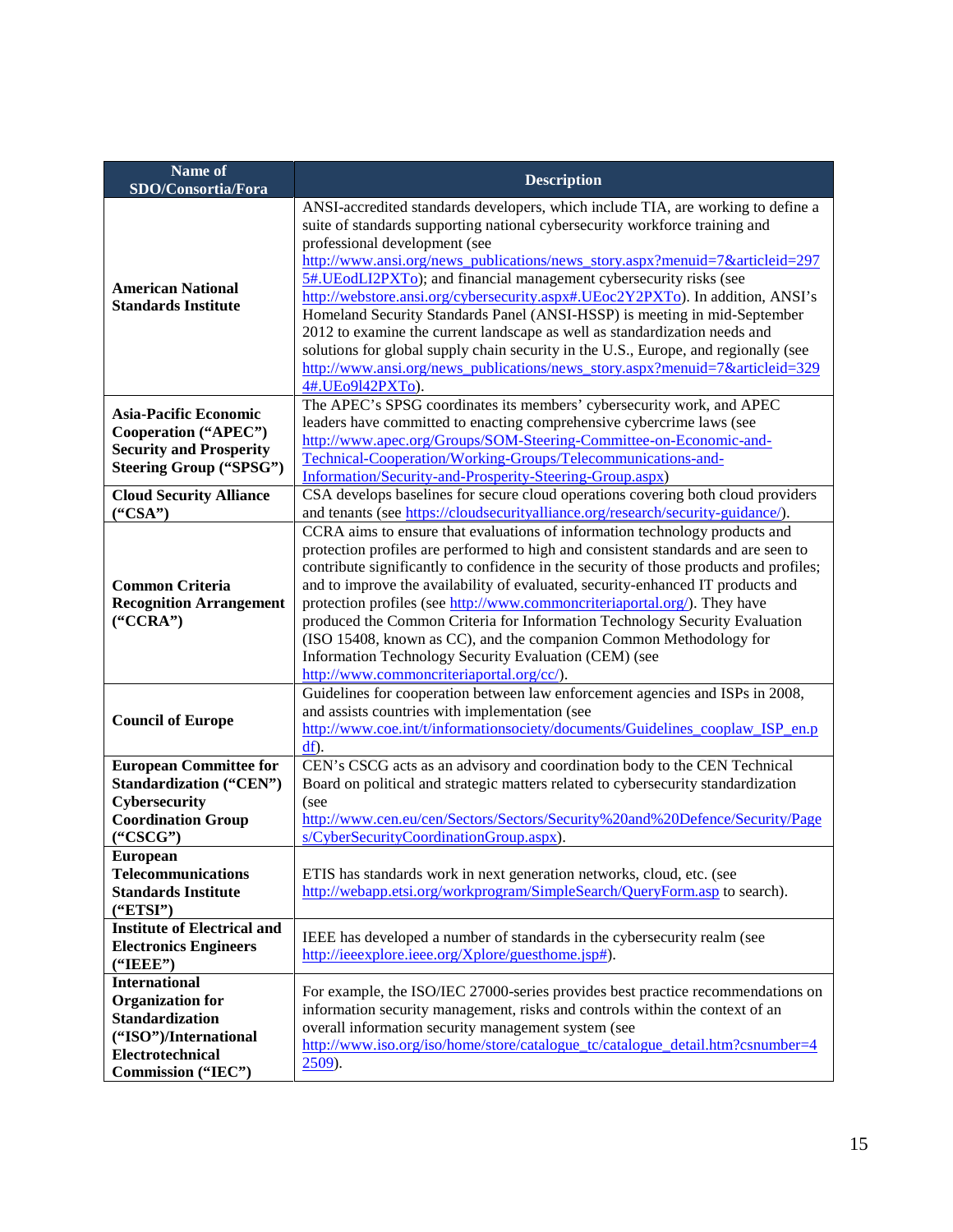| Name of<br>SDO/Consortia/Fora                                                                                                                | <b>Description</b>                                                                                                                                                                                                                                                                                                                                                                                                                                                                                                                                                                                                                                                                                                                                                                             |
|----------------------------------------------------------------------------------------------------------------------------------------------|------------------------------------------------------------------------------------------------------------------------------------------------------------------------------------------------------------------------------------------------------------------------------------------------------------------------------------------------------------------------------------------------------------------------------------------------------------------------------------------------------------------------------------------------------------------------------------------------------------------------------------------------------------------------------------------------------------------------------------------------------------------------------------------------|
| <b>American National</b><br><b>Standards Institute</b>                                                                                       | ANSI-accredited standards developers, which include TIA, are working to define a<br>suite of standards supporting national cybersecurity workforce training and<br>professional development (see<br>http://www.ansi.org/news_publications/news_story.aspx?menuid=7&articleid=297<br>5#.UEodLI2PXTo); and financial management cybersecurity risks (see<br>http://webstore.ansi.org/cybersecurity.aspx#.UEoc2Y2PXTo). In addition, ANSI's<br>Homeland Security Standards Panel (ANSI-HSSP) is meeting in mid-September<br>2012 to examine the current landscape as well as standardization needs and<br>solutions for global supply chain security in the U.S., Europe, and regionally (see<br>http://www.ansi.org/news_publications/news_story.aspx?menuid=7&articleid=329<br>4#.UE09142PXT0). |
| <b>Asia-Pacific Economic</b><br>Cooperation ("APEC")<br><b>Security and Prosperity</b><br><b>Steering Group ("SPSG")</b>                     | The APEC's SPSG coordinates its members' cybersecurity work, and APEC<br>leaders have committed to enacting comprehensive cybercrime laws (see<br>http://www.apec.org/Groups/SOM-Steering-Committee-on-Economic-and-<br>Technical-Cooperation/Working-Groups/Telecommunications-and-<br>Information/Security-and-Prosperity-Steering-Group.aspx)                                                                                                                                                                                                                                                                                                                                                                                                                                               |
| <b>Cloud Security Alliance</b><br>"CSA"                                                                                                      | CSA develops baselines for secure cloud operations covering both cloud providers<br>and tenants (see https://cloudsecurityalliance.org/research/security-guidance/).                                                                                                                                                                                                                                                                                                                                                                                                                                                                                                                                                                                                                           |
| <b>Common Criteria</b><br><b>Recognition Arrangement</b><br>("CCRA")                                                                         | CCRA aims to ensure that evaluations of information technology products and<br>protection profiles are performed to high and consistent standards and are seen to<br>contribute significantly to confidence in the security of those products and profiles;<br>and to improve the availability of evaluated, security-enhanced IT products and<br>protection profiles (see http://www.commoncriteriaportal.org/). They have<br>produced the Common Criteria for Information Technology Security Evaluation<br>(ISO 15408, known as CC), and the companion Common Methodology for<br>Information Technology Security Evaluation (CEM) (see<br>http://www.commoncriteriaportal.org/cc/).                                                                                                         |
| <b>Council of Europe</b>                                                                                                                     | Guidelines for cooperation between law enforcement agencies and ISPs in 2008,<br>and assists countries with implementation (see<br>http://www.coe.int/t/informationsociety/documents/Guidelines_cooplaw_ISP_en.p<br>df).                                                                                                                                                                                                                                                                                                                                                                                                                                                                                                                                                                       |
| <b>European Committee for</b><br><b>Standardization ("CEN")</b><br>Cybersecurity<br><b>Coordination Group</b><br>("CSCG")<br><b>European</b> | CEN's CSCG acts as an advisory and coordination body to the CEN Technical<br>Board on political and strategic matters related to cybersecurity standardization<br>(see<br>http://www.cen.eu/cen/Sectors/Sectors/Security%20and%20Defence/Security/Page<br>s/CyberSecurityCoordinationGroup.aspx).                                                                                                                                                                                                                                                                                                                                                                                                                                                                                              |
| <b>Telecommunications</b><br><b>Standards Institute</b><br>("ETSI")                                                                          | ETIS has standards work in next generation networks, cloud, etc. (see<br>http://webapp.etsi.org/workprogram/SimpleSearch/QueryForm.asp to search).                                                                                                                                                                                                                                                                                                                                                                                                                                                                                                                                                                                                                                             |
| <b>Institute of Electrical and</b><br><b>Electronics Engineers</b><br>("IEEE")                                                               | IEEE has developed a number of standards in the cybersecurity realm (see<br>http://ieeexplore.ieee.org/Xplore/guesthome.jsp#).                                                                                                                                                                                                                                                                                                                                                                                                                                                                                                                                                                                                                                                                 |
| <b>International</b><br><b>Organization</b> for<br>Standardization<br>("ISO")/International<br>Electrotechnical<br>Commission ("IEC")        | For example, the ISO/IEC 27000-series provides best practice recommendations on<br>information security management, risks and controls within the context of an<br>overall information security management system (see<br>http://www.iso.org/iso/home/store/catalogue_tc/catalogue_detail.htm?csnumber=4<br>$2509$ ).                                                                                                                                                                                                                                                                                                                                                                                                                                                                          |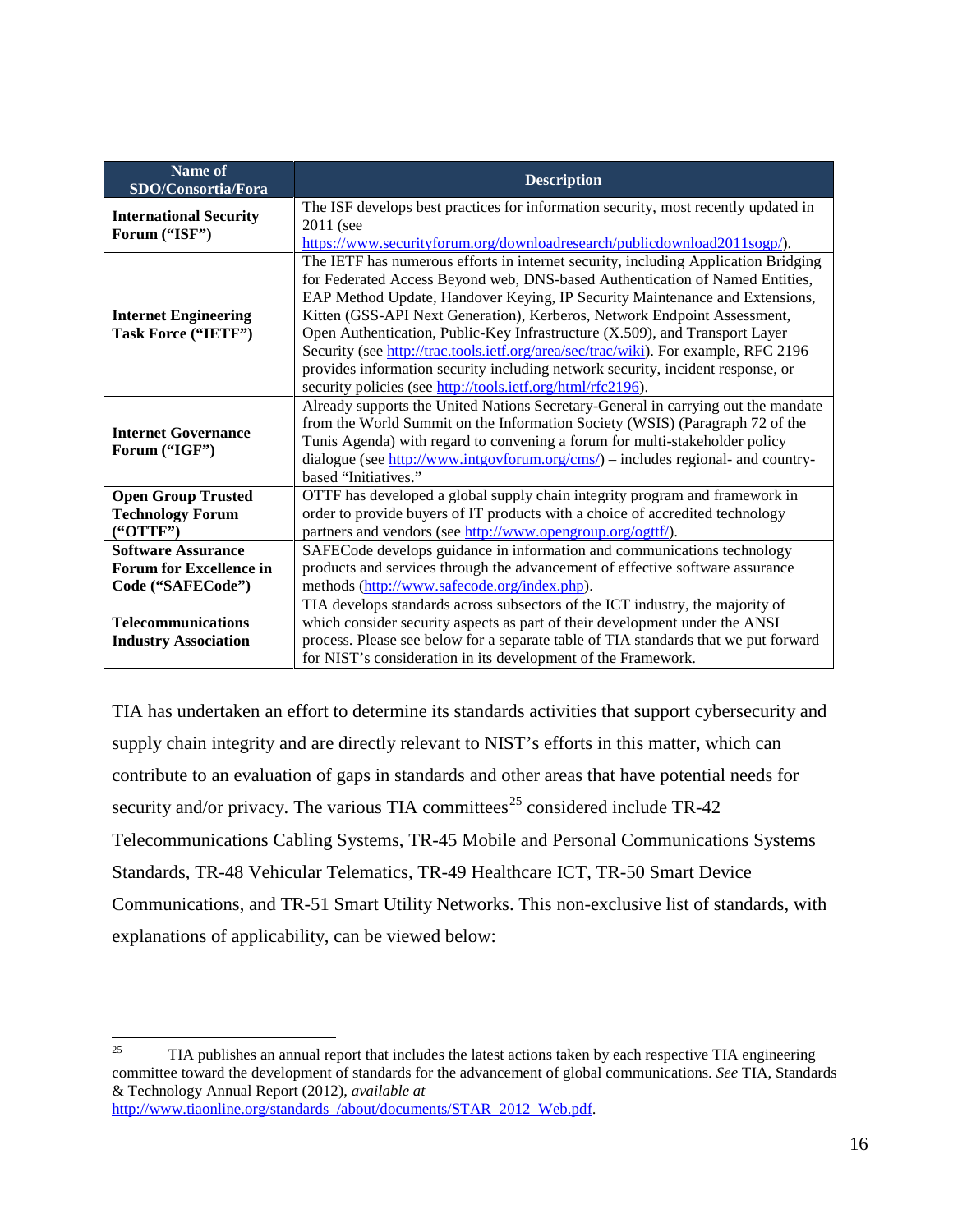| Name of<br>SDO/Consortia/Fora                                                    | <b>Description</b>                                                                                                                                                                                                                                                                                                                                                                                                                                                                                                                                                                                                                                    |  |
|----------------------------------------------------------------------------------|-------------------------------------------------------------------------------------------------------------------------------------------------------------------------------------------------------------------------------------------------------------------------------------------------------------------------------------------------------------------------------------------------------------------------------------------------------------------------------------------------------------------------------------------------------------------------------------------------------------------------------------------------------|--|
| <b>International Security</b><br>Forum ("ISF")                                   | The ISF develops best practices for information security, most recently updated in<br>$2011$ (see<br>https://www.securityforum.org/downloadresearch/publicdownload2011sogp/).                                                                                                                                                                                                                                                                                                                                                                                                                                                                         |  |
| <b>Internet Engineering</b><br>Task Force ("IETF")                               | The IETF has numerous efforts in internet security, including Application Bridging<br>for Federated Access Beyond web, DNS-based Authentication of Named Entities,<br>EAP Method Update, Handover Keying, IP Security Maintenance and Extensions,<br>Kitten (GSS-API Next Generation), Kerberos, Network Endpoint Assessment,<br>Open Authentication, Public-Key Infrastructure (X.509), and Transport Layer<br>Security (see http://trac.tools.ietf.org/area/sec/trac/wiki). For example, RFC 2196<br>provides information security including network security, incident response, or<br>security policies (see http://tools.ietf.org/html/rfc2196). |  |
| <b>Internet Governance</b><br>Forum ("IGF")                                      | Already supports the United Nations Secretary-General in carrying out the mandate<br>from the World Summit on the Information Society (WSIS) (Paragraph 72 of the<br>Tunis Agenda) with regard to convening a forum for multi-stakeholder policy<br>dialogue (see http://www.intgovforum.org/cms/) - includes regional- and country-<br>based "Initiatives."                                                                                                                                                                                                                                                                                          |  |
| <b>Open Group Trusted</b><br><b>Technology Forum</b><br>("OTTF")                 | OTTF has developed a global supply chain integrity program and framework in<br>order to provide buyers of IT products with a choice of accredited technology<br>partners and vendors (see http://www.opengroup.org/ogttf/).                                                                                                                                                                                                                                                                                                                                                                                                                           |  |
| <b>Software Assurance</b><br><b>Forum for Excellence in</b><br>Code ("SAFECode") | SAFECode develops guidance in information and communications technology<br>products and services through the advancement of effective software assurance<br>methods (http://www.safecode.org/index.php).                                                                                                                                                                                                                                                                                                                                                                                                                                              |  |
| <b>Telecommunications</b><br><b>Industry Association</b>                         | TIA develops standards across subsectors of the ICT industry, the majority of<br>which consider security aspects as part of their development under the ANSI<br>process. Please see below for a separate table of TIA standards that we put forward<br>for NIST's consideration in its development of the Framework.                                                                                                                                                                                                                                                                                                                                  |  |

TIA has undertaken an effort to determine its standards activities that support cybersecurity and supply chain integrity and are directly relevant to NIST's efforts in this matter, which can contribute to an evaluation of gaps in standards and other areas that have potential needs for security and/or privacy. The various TIA committees<sup>[25](#page-15-0)</sup> considered include  $TR-42$ Telecommunications Cabling Systems, TR-45 Mobile and Personal Communications Systems Standards, TR-48 Vehicular Telematics, TR-49 Healthcare ICT, TR-50 Smart Device Communications, and TR-51 Smart Utility Networks. This non-exclusive list of standards, with explanations of applicability, can be viewed below:

<span id="page-15-0"></span><sup>&</sup>lt;sup>25</sup> TIA publishes an annual report that includes the latest actions taken by each respective TIA engineering committee toward the development of standards for the advancement of global communications. *See* TIA, Standards & Technology Annual Report (2012), *available at*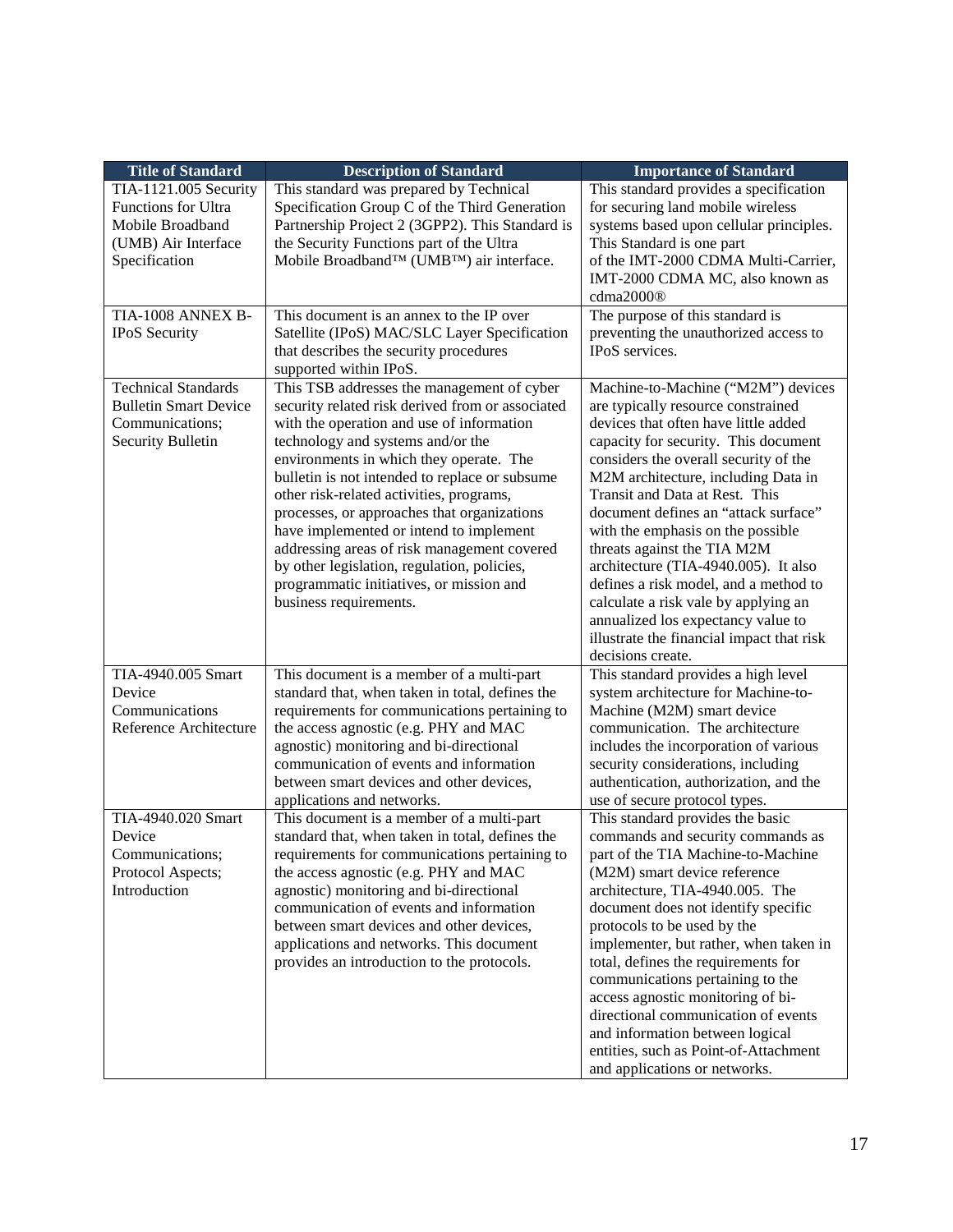| <b>Title of Standard</b>             | <b>Description of Standard</b>                                                            | <b>Importance of Standard</b>                                                |
|--------------------------------------|-------------------------------------------------------------------------------------------|------------------------------------------------------------------------------|
| TIA-1121.005 Security                | This standard was prepared by Technical                                                   | This standard provides a specification                                       |
| Functions for Ultra                  | Specification Group C of the Third Generation                                             | for securing land mobile wireless                                            |
| Mobile Broadband                     | Partnership Project 2 (3GPP2). This Standard is                                           | systems based upon cellular principles.                                      |
| (UMB) Air Interface                  | the Security Functions part of the Ultra                                                  | This Standard is one part                                                    |
| Specification                        | Mobile Broadband <sup>™</sup> (UMB™) air interface.                                       | of the IMT-2000 CDMA Multi-Carrier,                                          |
|                                      |                                                                                           | IMT-2000 CDMA MC, also known as                                              |
|                                      |                                                                                           | cdma2000®                                                                    |
| TIA-1008 ANNEX B-                    | This document is an annex to the IP over                                                  | The purpose of this standard is                                              |
| <b>IPoS</b> Security                 | Satellite (IPoS) MAC/SLC Layer Specification                                              | preventing the unauthorized access to                                        |
|                                      | that describes the security procedures                                                    | IPoS services.                                                               |
|                                      | supported within IPoS.                                                                    |                                                                              |
| <b>Technical Standards</b>           | This TSB addresses the management of cyber                                                | Machine-to-Machine ("M2M") devices                                           |
| <b>Bulletin Smart Device</b>         | security related risk derived from or associated                                          | are typically resource constrained                                           |
| Communications;                      | with the operation and use of information                                                 | devices that often have little added                                         |
| Security Bulletin                    | technology and systems and/or the                                                         | capacity for security. This document                                         |
|                                      | environments in which they operate. The<br>bulletin is not intended to replace or subsume | considers the overall security of the<br>M2M architecture, including Data in |
|                                      | other risk-related activities, programs,                                                  | Transit and Data at Rest. This                                               |
|                                      | processes, or approaches that organizations                                               | document defines an "attack surface"                                         |
|                                      | have implemented or intend to implement                                                   | with the emphasis on the possible                                            |
|                                      | addressing areas of risk management covered                                               | threats against the TIA M2M                                                  |
|                                      | by other legislation, regulation, policies,                                               | architecture (TIA-4940.005). It also                                         |
|                                      | programmatic initiatives, or mission and                                                  | defines a risk model, and a method to                                        |
|                                      | business requirements.                                                                    | calculate a risk vale by applying an                                         |
|                                      |                                                                                           | annualized los expectancy value to                                           |
|                                      |                                                                                           | illustrate the financial impact that risk                                    |
|                                      |                                                                                           | decisions create.                                                            |
| TIA-4940.005 Smart                   | This document is a member of a multi-part                                                 | This standard provides a high level                                          |
| Device                               | standard that, when taken in total, defines the                                           | system architecture for Machine-to-                                          |
| Communications                       | requirements for communications pertaining to                                             | Machine (M2M) smart device                                                   |
| Reference Architecture               | the access agnostic (e.g. PHY and MAC                                                     | communication. The architecture                                              |
|                                      | agnostic) monitoring and bi-directional                                                   | includes the incorporation of various                                        |
|                                      | communication of events and information                                                   | security considerations, including                                           |
|                                      | between smart devices and other devices,                                                  | authentication, authorization, and the                                       |
|                                      | applications and networks.                                                                | use of secure protocol types.                                                |
| TIA-4940.020 Smart                   | This document is a member of a multi-part                                                 | This standard provides the basic                                             |
| Device                               | standard that, when taken in total, defines the                                           | commands and security commands as<br>part of the TIA Machine-to-Machine      |
| Communications;<br>Protocol Aspects; | requirements for communications pertaining to<br>the access agnostic (e.g. PHY and MAC    | (M2M) smart device reference                                                 |
| Introduction                         | agnostic) monitoring and bi-directional                                                   | architecture, TIA-4940.005. The                                              |
|                                      | communication of events and information                                                   | document does not identify specific                                          |
|                                      | between smart devices and other devices,                                                  | protocols to be used by the                                                  |
|                                      | applications and networks. This document                                                  | implementer, but rather, when taken in                                       |
|                                      | provides an introduction to the protocols.                                                | total, defines the requirements for                                          |
|                                      |                                                                                           | communications pertaining to the                                             |
|                                      |                                                                                           | access agnostic monitoring of bi-                                            |
|                                      |                                                                                           | directional communication of events                                          |
|                                      |                                                                                           | and information between logical                                              |
|                                      |                                                                                           | entities, such as Point-of-Attachment                                        |
|                                      |                                                                                           | and applications or networks.                                                |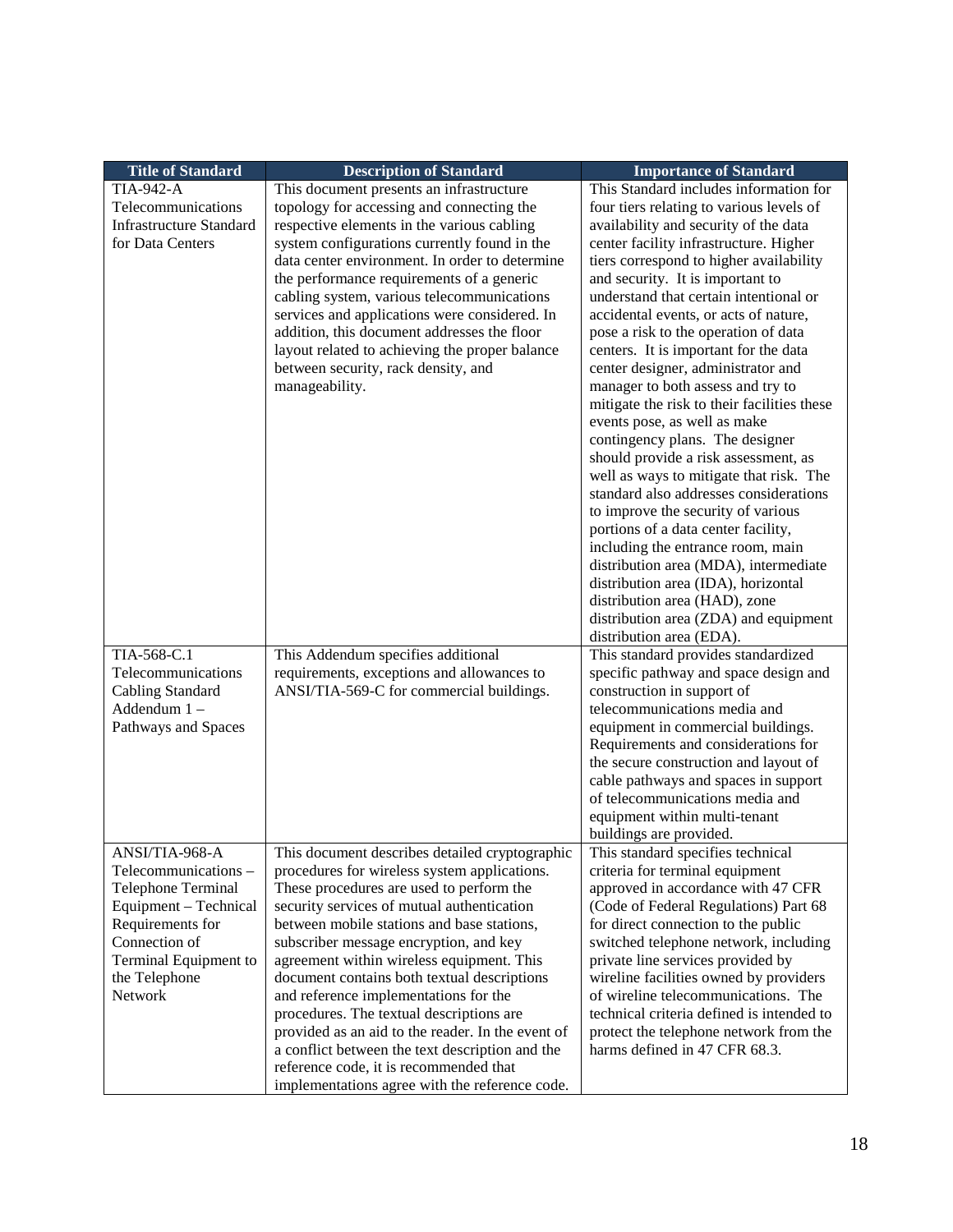| <b>TIA-942-A</b><br>This Standard includes information for<br>This document presents an infrastructure<br>Telecommunications<br>topology for accessing and connecting the<br>four tiers relating to various levels of<br><b>Infrastructure Standard</b><br>respective elements in the various cabling<br>availability and security of the data<br>for Data Centers<br>system configurations currently found in the<br>center facility infrastructure. Higher<br>data center environment. In order to determine<br>tiers correspond to higher availability<br>the performance requirements of a generic<br>and security. It is important to<br>understand that certain intentional or<br>cabling system, various telecommunications<br>services and applications were considered. In<br>accidental events, or acts of nature,<br>addition, this document addresses the floor<br>pose a risk to the operation of data<br>layout related to achieving the proper balance<br>centers. It is important for the data<br>between security, rack density, and<br>center designer, administrator and<br>manageability.<br>manager to both assess and try to<br>mitigate the risk to their facilities these<br>events pose, as well as make<br>contingency plans. The designer<br>should provide a risk assessment, as<br>well as ways to mitigate that risk. The<br>standard also addresses considerations<br>to improve the security of various<br>portions of a data center facility,<br>including the entrance room, main<br>distribution area (MDA), intermediate<br>distribution area (IDA), horizontal<br>distribution area (HAD), zone<br>distribution area (ZDA) and equipment<br>distribution area (EDA).<br>TIA-568-C.1<br>This Addendum specifies additional<br>This standard provides standardized<br>Telecommunications<br>requirements, exceptions and allowances to<br>specific pathway and space design and<br>Cabling Standard<br>ANSI/TIA-569-C for commercial buildings.<br>construction in support of<br>Addendum 1-<br>telecommunications media and<br>Pathways and Spaces<br>equipment in commercial buildings.<br>Requirements and considerations for<br>the secure construction and layout of<br>cable pathways and spaces in support<br>of telecommunications media and<br>equipment within multi-tenant<br>buildings are provided.<br>This document describes detailed cryptographic<br>ANSI/TIA-968-A<br>This standard specifies technical<br>procedures for wireless system applications.<br>Telecommunications-<br>criteria for terminal equipment<br>approved in accordance with 47 CFR<br>Telephone Terminal<br>These procedures are used to perform the<br>Equipment - Technical<br>security services of mutual authentication<br>(Code of Federal Regulations) Part 68<br>between mobile stations and base stations,<br>Requirements for<br>for direct connection to the public<br>Connection of<br>subscriber message encryption, and key<br>switched telephone network, including<br>Terminal Equipment to<br>private line services provided by<br>agreement within wireless equipment. This<br>wireline facilities owned by providers<br>the Telephone<br>document contains both textual descriptions | <b>Title of Standard</b> | <b>Description of Standard</b> | <b>Importance of Standard</b> |
|----------------------------------------------------------------------------------------------------------------------------------------------------------------------------------------------------------------------------------------------------------------------------------------------------------------------------------------------------------------------------------------------------------------------------------------------------------------------------------------------------------------------------------------------------------------------------------------------------------------------------------------------------------------------------------------------------------------------------------------------------------------------------------------------------------------------------------------------------------------------------------------------------------------------------------------------------------------------------------------------------------------------------------------------------------------------------------------------------------------------------------------------------------------------------------------------------------------------------------------------------------------------------------------------------------------------------------------------------------------------------------------------------------------------------------------------------------------------------------------------------------------------------------------------------------------------------------------------------------------------------------------------------------------------------------------------------------------------------------------------------------------------------------------------------------------------------------------------------------------------------------------------------------------------------------------------------------------------------------------------------------------------------------------------------------------------------------------------------------------------------------------------------------------------------------------------------------------------------------------------------------------------------------------------------------------------------------------------------------------------------------------------------------------------------------------------------------------------------------------------------------------------------------------------------------------------------------------------------------------------------------------------------------------------------------------------------------------------------------------------------------------------------------------------------------------------------------------------------------------------------------------------------------------------------------------------------------------------------------------------------------------------------------------------------------------------------------------------------------------------------------------------------------------------------------------------------------------------------------|--------------------------|--------------------------------|-------------------------------|
|                                                                                                                                                                                                                                                                                                                                                                                                                                                                                                                                                                                                                                                                                                                                                                                                                                                                                                                                                                                                                                                                                                                                                                                                                                                                                                                                                                                                                                                                                                                                                                                                                                                                                                                                                                                                                                                                                                                                                                                                                                                                                                                                                                                                                                                                                                                                                                                                                                                                                                                                                                                                                                                                                                                                                                                                                                                                                                                                                                                                                                                                                                                                                                                                                                  |                          |                                |                               |
|                                                                                                                                                                                                                                                                                                                                                                                                                                                                                                                                                                                                                                                                                                                                                                                                                                                                                                                                                                                                                                                                                                                                                                                                                                                                                                                                                                                                                                                                                                                                                                                                                                                                                                                                                                                                                                                                                                                                                                                                                                                                                                                                                                                                                                                                                                                                                                                                                                                                                                                                                                                                                                                                                                                                                                                                                                                                                                                                                                                                                                                                                                                                                                                                                                  |                          |                                |                               |
|                                                                                                                                                                                                                                                                                                                                                                                                                                                                                                                                                                                                                                                                                                                                                                                                                                                                                                                                                                                                                                                                                                                                                                                                                                                                                                                                                                                                                                                                                                                                                                                                                                                                                                                                                                                                                                                                                                                                                                                                                                                                                                                                                                                                                                                                                                                                                                                                                                                                                                                                                                                                                                                                                                                                                                                                                                                                                                                                                                                                                                                                                                                                                                                                                                  |                          |                                |                               |
|                                                                                                                                                                                                                                                                                                                                                                                                                                                                                                                                                                                                                                                                                                                                                                                                                                                                                                                                                                                                                                                                                                                                                                                                                                                                                                                                                                                                                                                                                                                                                                                                                                                                                                                                                                                                                                                                                                                                                                                                                                                                                                                                                                                                                                                                                                                                                                                                                                                                                                                                                                                                                                                                                                                                                                                                                                                                                                                                                                                                                                                                                                                                                                                                                                  |                          |                                |                               |
|                                                                                                                                                                                                                                                                                                                                                                                                                                                                                                                                                                                                                                                                                                                                                                                                                                                                                                                                                                                                                                                                                                                                                                                                                                                                                                                                                                                                                                                                                                                                                                                                                                                                                                                                                                                                                                                                                                                                                                                                                                                                                                                                                                                                                                                                                                                                                                                                                                                                                                                                                                                                                                                                                                                                                                                                                                                                                                                                                                                                                                                                                                                                                                                                                                  |                          |                                |                               |
|                                                                                                                                                                                                                                                                                                                                                                                                                                                                                                                                                                                                                                                                                                                                                                                                                                                                                                                                                                                                                                                                                                                                                                                                                                                                                                                                                                                                                                                                                                                                                                                                                                                                                                                                                                                                                                                                                                                                                                                                                                                                                                                                                                                                                                                                                                                                                                                                                                                                                                                                                                                                                                                                                                                                                                                                                                                                                                                                                                                                                                                                                                                                                                                                                                  |                          |                                |                               |
|                                                                                                                                                                                                                                                                                                                                                                                                                                                                                                                                                                                                                                                                                                                                                                                                                                                                                                                                                                                                                                                                                                                                                                                                                                                                                                                                                                                                                                                                                                                                                                                                                                                                                                                                                                                                                                                                                                                                                                                                                                                                                                                                                                                                                                                                                                                                                                                                                                                                                                                                                                                                                                                                                                                                                                                                                                                                                                                                                                                                                                                                                                                                                                                                                                  |                          |                                |                               |
|                                                                                                                                                                                                                                                                                                                                                                                                                                                                                                                                                                                                                                                                                                                                                                                                                                                                                                                                                                                                                                                                                                                                                                                                                                                                                                                                                                                                                                                                                                                                                                                                                                                                                                                                                                                                                                                                                                                                                                                                                                                                                                                                                                                                                                                                                                                                                                                                                                                                                                                                                                                                                                                                                                                                                                                                                                                                                                                                                                                                                                                                                                                                                                                                                                  |                          |                                |                               |
|                                                                                                                                                                                                                                                                                                                                                                                                                                                                                                                                                                                                                                                                                                                                                                                                                                                                                                                                                                                                                                                                                                                                                                                                                                                                                                                                                                                                                                                                                                                                                                                                                                                                                                                                                                                                                                                                                                                                                                                                                                                                                                                                                                                                                                                                                                                                                                                                                                                                                                                                                                                                                                                                                                                                                                                                                                                                                                                                                                                                                                                                                                                                                                                                                                  |                          |                                |                               |
|                                                                                                                                                                                                                                                                                                                                                                                                                                                                                                                                                                                                                                                                                                                                                                                                                                                                                                                                                                                                                                                                                                                                                                                                                                                                                                                                                                                                                                                                                                                                                                                                                                                                                                                                                                                                                                                                                                                                                                                                                                                                                                                                                                                                                                                                                                                                                                                                                                                                                                                                                                                                                                                                                                                                                                                                                                                                                                                                                                                                                                                                                                                                                                                                                                  |                          |                                |                               |
|                                                                                                                                                                                                                                                                                                                                                                                                                                                                                                                                                                                                                                                                                                                                                                                                                                                                                                                                                                                                                                                                                                                                                                                                                                                                                                                                                                                                                                                                                                                                                                                                                                                                                                                                                                                                                                                                                                                                                                                                                                                                                                                                                                                                                                                                                                                                                                                                                                                                                                                                                                                                                                                                                                                                                                                                                                                                                                                                                                                                                                                                                                                                                                                                                                  |                          |                                |                               |
|                                                                                                                                                                                                                                                                                                                                                                                                                                                                                                                                                                                                                                                                                                                                                                                                                                                                                                                                                                                                                                                                                                                                                                                                                                                                                                                                                                                                                                                                                                                                                                                                                                                                                                                                                                                                                                                                                                                                                                                                                                                                                                                                                                                                                                                                                                                                                                                                                                                                                                                                                                                                                                                                                                                                                                                                                                                                                                                                                                                                                                                                                                                                                                                                                                  |                          |                                |                               |
|                                                                                                                                                                                                                                                                                                                                                                                                                                                                                                                                                                                                                                                                                                                                                                                                                                                                                                                                                                                                                                                                                                                                                                                                                                                                                                                                                                                                                                                                                                                                                                                                                                                                                                                                                                                                                                                                                                                                                                                                                                                                                                                                                                                                                                                                                                                                                                                                                                                                                                                                                                                                                                                                                                                                                                                                                                                                                                                                                                                                                                                                                                                                                                                                                                  |                          |                                |                               |
|                                                                                                                                                                                                                                                                                                                                                                                                                                                                                                                                                                                                                                                                                                                                                                                                                                                                                                                                                                                                                                                                                                                                                                                                                                                                                                                                                                                                                                                                                                                                                                                                                                                                                                                                                                                                                                                                                                                                                                                                                                                                                                                                                                                                                                                                                                                                                                                                                                                                                                                                                                                                                                                                                                                                                                                                                                                                                                                                                                                                                                                                                                                                                                                                                                  |                          |                                |                               |
|                                                                                                                                                                                                                                                                                                                                                                                                                                                                                                                                                                                                                                                                                                                                                                                                                                                                                                                                                                                                                                                                                                                                                                                                                                                                                                                                                                                                                                                                                                                                                                                                                                                                                                                                                                                                                                                                                                                                                                                                                                                                                                                                                                                                                                                                                                                                                                                                                                                                                                                                                                                                                                                                                                                                                                                                                                                                                                                                                                                                                                                                                                                                                                                                                                  |                          |                                |                               |
|                                                                                                                                                                                                                                                                                                                                                                                                                                                                                                                                                                                                                                                                                                                                                                                                                                                                                                                                                                                                                                                                                                                                                                                                                                                                                                                                                                                                                                                                                                                                                                                                                                                                                                                                                                                                                                                                                                                                                                                                                                                                                                                                                                                                                                                                                                                                                                                                                                                                                                                                                                                                                                                                                                                                                                                                                                                                                                                                                                                                                                                                                                                                                                                                                                  |                          |                                |                               |
|                                                                                                                                                                                                                                                                                                                                                                                                                                                                                                                                                                                                                                                                                                                                                                                                                                                                                                                                                                                                                                                                                                                                                                                                                                                                                                                                                                                                                                                                                                                                                                                                                                                                                                                                                                                                                                                                                                                                                                                                                                                                                                                                                                                                                                                                                                                                                                                                                                                                                                                                                                                                                                                                                                                                                                                                                                                                                                                                                                                                                                                                                                                                                                                                                                  |                          |                                |                               |
|                                                                                                                                                                                                                                                                                                                                                                                                                                                                                                                                                                                                                                                                                                                                                                                                                                                                                                                                                                                                                                                                                                                                                                                                                                                                                                                                                                                                                                                                                                                                                                                                                                                                                                                                                                                                                                                                                                                                                                                                                                                                                                                                                                                                                                                                                                                                                                                                                                                                                                                                                                                                                                                                                                                                                                                                                                                                                                                                                                                                                                                                                                                                                                                                                                  |                          |                                |                               |
|                                                                                                                                                                                                                                                                                                                                                                                                                                                                                                                                                                                                                                                                                                                                                                                                                                                                                                                                                                                                                                                                                                                                                                                                                                                                                                                                                                                                                                                                                                                                                                                                                                                                                                                                                                                                                                                                                                                                                                                                                                                                                                                                                                                                                                                                                                                                                                                                                                                                                                                                                                                                                                                                                                                                                                                                                                                                                                                                                                                                                                                                                                                                                                                                                                  |                          |                                |                               |
|                                                                                                                                                                                                                                                                                                                                                                                                                                                                                                                                                                                                                                                                                                                                                                                                                                                                                                                                                                                                                                                                                                                                                                                                                                                                                                                                                                                                                                                                                                                                                                                                                                                                                                                                                                                                                                                                                                                                                                                                                                                                                                                                                                                                                                                                                                                                                                                                                                                                                                                                                                                                                                                                                                                                                                                                                                                                                                                                                                                                                                                                                                                                                                                                                                  |                          |                                |                               |
|                                                                                                                                                                                                                                                                                                                                                                                                                                                                                                                                                                                                                                                                                                                                                                                                                                                                                                                                                                                                                                                                                                                                                                                                                                                                                                                                                                                                                                                                                                                                                                                                                                                                                                                                                                                                                                                                                                                                                                                                                                                                                                                                                                                                                                                                                                                                                                                                                                                                                                                                                                                                                                                                                                                                                                                                                                                                                                                                                                                                                                                                                                                                                                                                                                  |                          |                                |                               |
|                                                                                                                                                                                                                                                                                                                                                                                                                                                                                                                                                                                                                                                                                                                                                                                                                                                                                                                                                                                                                                                                                                                                                                                                                                                                                                                                                                                                                                                                                                                                                                                                                                                                                                                                                                                                                                                                                                                                                                                                                                                                                                                                                                                                                                                                                                                                                                                                                                                                                                                                                                                                                                                                                                                                                                                                                                                                                                                                                                                                                                                                                                                                                                                                                                  |                          |                                |                               |
|                                                                                                                                                                                                                                                                                                                                                                                                                                                                                                                                                                                                                                                                                                                                                                                                                                                                                                                                                                                                                                                                                                                                                                                                                                                                                                                                                                                                                                                                                                                                                                                                                                                                                                                                                                                                                                                                                                                                                                                                                                                                                                                                                                                                                                                                                                                                                                                                                                                                                                                                                                                                                                                                                                                                                                                                                                                                                                                                                                                                                                                                                                                                                                                                                                  |                          |                                |                               |
|                                                                                                                                                                                                                                                                                                                                                                                                                                                                                                                                                                                                                                                                                                                                                                                                                                                                                                                                                                                                                                                                                                                                                                                                                                                                                                                                                                                                                                                                                                                                                                                                                                                                                                                                                                                                                                                                                                                                                                                                                                                                                                                                                                                                                                                                                                                                                                                                                                                                                                                                                                                                                                                                                                                                                                                                                                                                                                                                                                                                                                                                                                                                                                                                                                  |                          |                                |                               |
|                                                                                                                                                                                                                                                                                                                                                                                                                                                                                                                                                                                                                                                                                                                                                                                                                                                                                                                                                                                                                                                                                                                                                                                                                                                                                                                                                                                                                                                                                                                                                                                                                                                                                                                                                                                                                                                                                                                                                                                                                                                                                                                                                                                                                                                                                                                                                                                                                                                                                                                                                                                                                                                                                                                                                                                                                                                                                                                                                                                                                                                                                                                                                                                                                                  |                          |                                |                               |
|                                                                                                                                                                                                                                                                                                                                                                                                                                                                                                                                                                                                                                                                                                                                                                                                                                                                                                                                                                                                                                                                                                                                                                                                                                                                                                                                                                                                                                                                                                                                                                                                                                                                                                                                                                                                                                                                                                                                                                                                                                                                                                                                                                                                                                                                                                                                                                                                                                                                                                                                                                                                                                                                                                                                                                                                                                                                                                                                                                                                                                                                                                                                                                                                                                  |                          |                                |                               |
|                                                                                                                                                                                                                                                                                                                                                                                                                                                                                                                                                                                                                                                                                                                                                                                                                                                                                                                                                                                                                                                                                                                                                                                                                                                                                                                                                                                                                                                                                                                                                                                                                                                                                                                                                                                                                                                                                                                                                                                                                                                                                                                                                                                                                                                                                                                                                                                                                                                                                                                                                                                                                                                                                                                                                                                                                                                                                                                                                                                                                                                                                                                                                                                                                                  |                          |                                |                               |
|                                                                                                                                                                                                                                                                                                                                                                                                                                                                                                                                                                                                                                                                                                                                                                                                                                                                                                                                                                                                                                                                                                                                                                                                                                                                                                                                                                                                                                                                                                                                                                                                                                                                                                                                                                                                                                                                                                                                                                                                                                                                                                                                                                                                                                                                                                                                                                                                                                                                                                                                                                                                                                                                                                                                                                                                                                                                                                                                                                                                                                                                                                                                                                                                                                  |                          |                                |                               |
|                                                                                                                                                                                                                                                                                                                                                                                                                                                                                                                                                                                                                                                                                                                                                                                                                                                                                                                                                                                                                                                                                                                                                                                                                                                                                                                                                                                                                                                                                                                                                                                                                                                                                                                                                                                                                                                                                                                                                                                                                                                                                                                                                                                                                                                                                                                                                                                                                                                                                                                                                                                                                                                                                                                                                                                                                                                                                                                                                                                                                                                                                                                                                                                                                                  |                          |                                |                               |
|                                                                                                                                                                                                                                                                                                                                                                                                                                                                                                                                                                                                                                                                                                                                                                                                                                                                                                                                                                                                                                                                                                                                                                                                                                                                                                                                                                                                                                                                                                                                                                                                                                                                                                                                                                                                                                                                                                                                                                                                                                                                                                                                                                                                                                                                                                                                                                                                                                                                                                                                                                                                                                                                                                                                                                                                                                                                                                                                                                                                                                                                                                                                                                                                                                  |                          |                                |                               |
|                                                                                                                                                                                                                                                                                                                                                                                                                                                                                                                                                                                                                                                                                                                                                                                                                                                                                                                                                                                                                                                                                                                                                                                                                                                                                                                                                                                                                                                                                                                                                                                                                                                                                                                                                                                                                                                                                                                                                                                                                                                                                                                                                                                                                                                                                                                                                                                                                                                                                                                                                                                                                                                                                                                                                                                                                                                                                                                                                                                                                                                                                                                                                                                                                                  |                          |                                |                               |
|                                                                                                                                                                                                                                                                                                                                                                                                                                                                                                                                                                                                                                                                                                                                                                                                                                                                                                                                                                                                                                                                                                                                                                                                                                                                                                                                                                                                                                                                                                                                                                                                                                                                                                                                                                                                                                                                                                                                                                                                                                                                                                                                                                                                                                                                                                                                                                                                                                                                                                                                                                                                                                                                                                                                                                                                                                                                                                                                                                                                                                                                                                                                                                                                                                  |                          |                                |                               |
|                                                                                                                                                                                                                                                                                                                                                                                                                                                                                                                                                                                                                                                                                                                                                                                                                                                                                                                                                                                                                                                                                                                                                                                                                                                                                                                                                                                                                                                                                                                                                                                                                                                                                                                                                                                                                                                                                                                                                                                                                                                                                                                                                                                                                                                                                                                                                                                                                                                                                                                                                                                                                                                                                                                                                                                                                                                                                                                                                                                                                                                                                                                                                                                                                                  |                          |                                |                               |
|                                                                                                                                                                                                                                                                                                                                                                                                                                                                                                                                                                                                                                                                                                                                                                                                                                                                                                                                                                                                                                                                                                                                                                                                                                                                                                                                                                                                                                                                                                                                                                                                                                                                                                                                                                                                                                                                                                                                                                                                                                                                                                                                                                                                                                                                                                                                                                                                                                                                                                                                                                                                                                                                                                                                                                                                                                                                                                                                                                                                                                                                                                                                                                                                                                  |                          |                                |                               |
|                                                                                                                                                                                                                                                                                                                                                                                                                                                                                                                                                                                                                                                                                                                                                                                                                                                                                                                                                                                                                                                                                                                                                                                                                                                                                                                                                                                                                                                                                                                                                                                                                                                                                                                                                                                                                                                                                                                                                                                                                                                                                                                                                                                                                                                                                                                                                                                                                                                                                                                                                                                                                                                                                                                                                                                                                                                                                                                                                                                                                                                                                                                                                                                                                                  |                          |                                |                               |
|                                                                                                                                                                                                                                                                                                                                                                                                                                                                                                                                                                                                                                                                                                                                                                                                                                                                                                                                                                                                                                                                                                                                                                                                                                                                                                                                                                                                                                                                                                                                                                                                                                                                                                                                                                                                                                                                                                                                                                                                                                                                                                                                                                                                                                                                                                                                                                                                                                                                                                                                                                                                                                                                                                                                                                                                                                                                                                                                                                                                                                                                                                                                                                                                                                  |                          |                                |                               |
|                                                                                                                                                                                                                                                                                                                                                                                                                                                                                                                                                                                                                                                                                                                                                                                                                                                                                                                                                                                                                                                                                                                                                                                                                                                                                                                                                                                                                                                                                                                                                                                                                                                                                                                                                                                                                                                                                                                                                                                                                                                                                                                                                                                                                                                                                                                                                                                                                                                                                                                                                                                                                                                                                                                                                                                                                                                                                                                                                                                                                                                                                                                                                                                                                                  |                          |                                |                               |
|                                                                                                                                                                                                                                                                                                                                                                                                                                                                                                                                                                                                                                                                                                                                                                                                                                                                                                                                                                                                                                                                                                                                                                                                                                                                                                                                                                                                                                                                                                                                                                                                                                                                                                                                                                                                                                                                                                                                                                                                                                                                                                                                                                                                                                                                                                                                                                                                                                                                                                                                                                                                                                                                                                                                                                                                                                                                                                                                                                                                                                                                                                                                                                                                                                  |                          |                                |                               |
|                                                                                                                                                                                                                                                                                                                                                                                                                                                                                                                                                                                                                                                                                                                                                                                                                                                                                                                                                                                                                                                                                                                                                                                                                                                                                                                                                                                                                                                                                                                                                                                                                                                                                                                                                                                                                                                                                                                                                                                                                                                                                                                                                                                                                                                                                                                                                                                                                                                                                                                                                                                                                                                                                                                                                                                                                                                                                                                                                                                                                                                                                                                                                                                                                                  |                          |                                |                               |
|                                                                                                                                                                                                                                                                                                                                                                                                                                                                                                                                                                                                                                                                                                                                                                                                                                                                                                                                                                                                                                                                                                                                                                                                                                                                                                                                                                                                                                                                                                                                                                                                                                                                                                                                                                                                                                                                                                                                                                                                                                                                                                                                                                                                                                                                                                                                                                                                                                                                                                                                                                                                                                                                                                                                                                                                                                                                                                                                                                                                                                                                                                                                                                                                                                  |                          |                                |                               |
|                                                                                                                                                                                                                                                                                                                                                                                                                                                                                                                                                                                                                                                                                                                                                                                                                                                                                                                                                                                                                                                                                                                                                                                                                                                                                                                                                                                                                                                                                                                                                                                                                                                                                                                                                                                                                                                                                                                                                                                                                                                                                                                                                                                                                                                                                                                                                                                                                                                                                                                                                                                                                                                                                                                                                                                                                                                                                                                                                                                                                                                                                                                                                                                                                                  |                          |                                |                               |
|                                                                                                                                                                                                                                                                                                                                                                                                                                                                                                                                                                                                                                                                                                                                                                                                                                                                                                                                                                                                                                                                                                                                                                                                                                                                                                                                                                                                                                                                                                                                                                                                                                                                                                                                                                                                                                                                                                                                                                                                                                                                                                                                                                                                                                                                                                                                                                                                                                                                                                                                                                                                                                                                                                                                                                                                                                                                                                                                                                                                                                                                                                                                                                                                                                  |                          |                                |                               |
|                                                                                                                                                                                                                                                                                                                                                                                                                                                                                                                                                                                                                                                                                                                                                                                                                                                                                                                                                                                                                                                                                                                                                                                                                                                                                                                                                                                                                                                                                                                                                                                                                                                                                                                                                                                                                                                                                                                                                                                                                                                                                                                                                                                                                                                                                                                                                                                                                                                                                                                                                                                                                                                                                                                                                                                                                                                                                                                                                                                                                                                                                                                                                                                                                                  |                          |                                |                               |
|                                                                                                                                                                                                                                                                                                                                                                                                                                                                                                                                                                                                                                                                                                                                                                                                                                                                                                                                                                                                                                                                                                                                                                                                                                                                                                                                                                                                                                                                                                                                                                                                                                                                                                                                                                                                                                                                                                                                                                                                                                                                                                                                                                                                                                                                                                                                                                                                                                                                                                                                                                                                                                                                                                                                                                                                                                                                                                                                                                                                                                                                                                                                                                                                                                  |                          |                                |                               |
|                                                                                                                                                                                                                                                                                                                                                                                                                                                                                                                                                                                                                                                                                                                                                                                                                                                                                                                                                                                                                                                                                                                                                                                                                                                                                                                                                                                                                                                                                                                                                                                                                                                                                                                                                                                                                                                                                                                                                                                                                                                                                                                                                                                                                                                                                                                                                                                                                                                                                                                                                                                                                                                                                                                                                                                                                                                                                                                                                                                                                                                                                                                                                                                                                                  |                          |                                |                               |
| Network<br>and reference implementations for the<br>of wireline telecommunications. The                                                                                                                                                                                                                                                                                                                                                                                                                                                                                                                                                                                                                                                                                                                                                                                                                                                                                                                                                                                                                                                                                                                                                                                                                                                                                                                                                                                                                                                                                                                                                                                                                                                                                                                                                                                                                                                                                                                                                                                                                                                                                                                                                                                                                                                                                                                                                                                                                                                                                                                                                                                                                                                                                                                                                                                                                                                                                                                                                                                                                                                                                                                                          |                          |                                |                               |
| procedures. The textual descriptions are<br>technical criteria defined is intended to                                                                                                                                                                                                                                                                                                                                                                                                                                                                                                                                                                                                                                                                                                                                                                                                                                                                                                                                                                                                                                                                                                                                                                                                                                                                                                                                                                                                                                                                                                                                                                                                                                                                                                                                                                                                                                                                                                                                                                                                                                                                                                                                                                                                                                                                                                                                                                                                                                                                                                                                                                                                                                                                                                                                                                                                                                                                                                                                                                                                                                                                                                                                            |                          |                                |                               |
| provided as an aid to the reader. In the event of<br>protect the telephone network from the                                                                                                                                                                                                                                                                                                                                                                                                                                                                                                                                                                                                                                                                                                                                                                                                                                                                                                                                                                                                                                                                                                                                                                                                                                                                                                                                                                                                                                                                                                                                                                                                                                                                                                                                                                                                                                                                                                                                                                                                                                                                                                                                                                                                                                                                                                                                                                                                                                                                                                                                                                                                                                                                                                                                                                                                                                                                                                                                                                                                                                                                                                                                      |                          |                                |                               |
| harms defined in 47 CFR 68.3.<br>a conflict between the text description and the                                                                                                                                                                                                                                                                                                                                                                                                                                                                                                                                                                                                                                                                                                                                                                                                                                                                                                                                                                                                                                                                                                                                                                                                                                                                                                                                                                                                                                                                                                                                                                                                                                                                                                                                                                                                                                                                                                                                                                                                                                                                                                                                                                                                                                                                                                                                                                                                                                                                                                                                                                                                                                                                                                                                                                                                                                                                                                                                                                                                                                                                                                                                                 |                          |                                |                               |
| reference code, it is recommended that<br>implementations agree with the reference code.                                                                                                                                                                                                                                                                                                                                                                                                                                                                                                                                                                                                                                                                                                                                                                                                                                                                                                                                                                                                                                                                                                                                                                                                                                                                                                                                                                                                                                                                                                                                                                                                                                                                                                                                                                                                                                                                                                                                                                                                                                                                                                                                                                                                                                                                                                                                                                                                                                                                                                                                                                                                                                                                                                                                                                                                                                                                                                                                                                                                                                                                                                                                         |                          |                                |                               |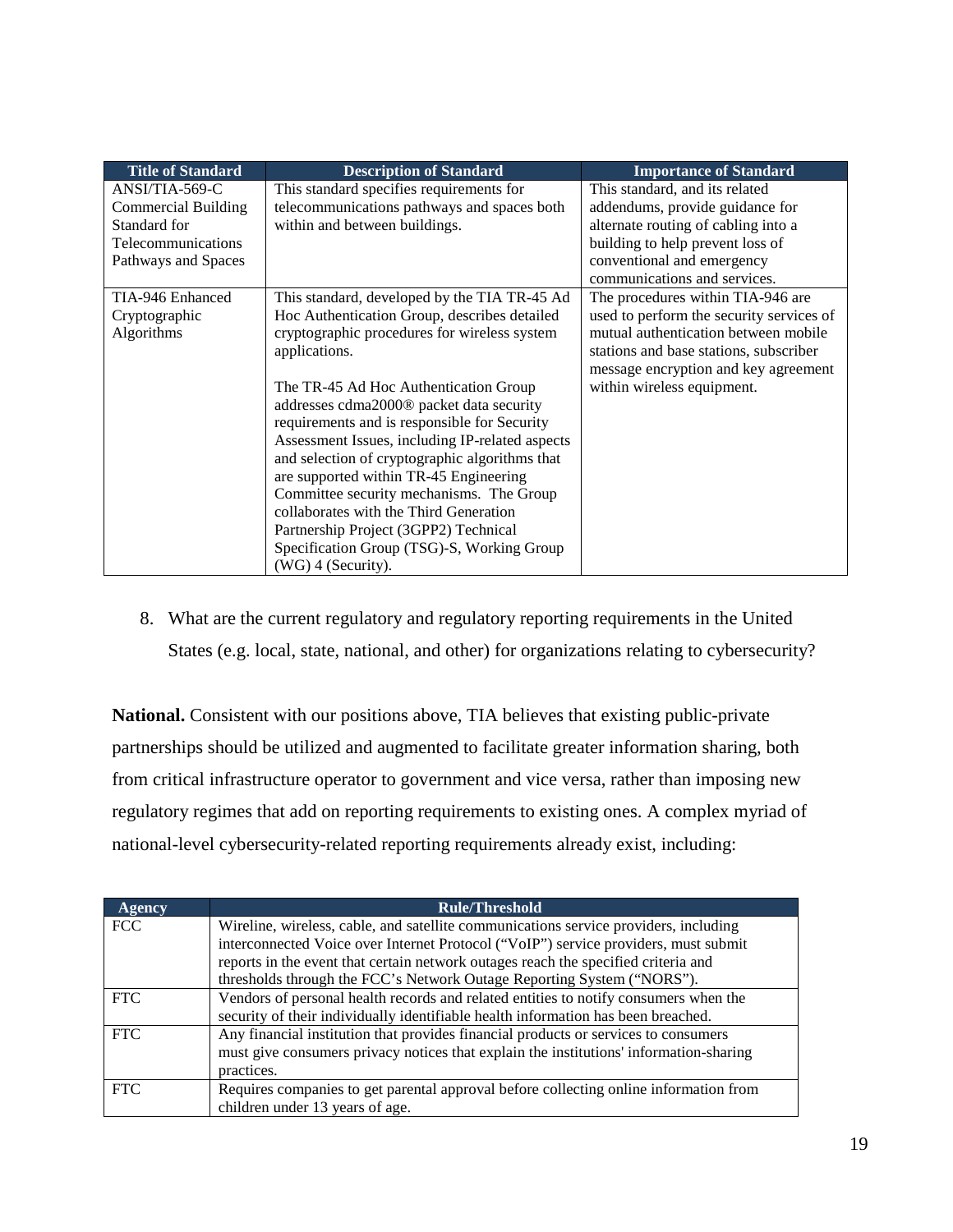| <b>Title of Standard</b>                                                                                    | <b>Description of Standard</b>                                                                                                                                                                                                                                                                                                                                                                                                                                                                                                                                                                                                                       | <b>Importance of Standard</b>                                                                                                                                                                                                         |
|-------------------------------------------------------------------------------------------------------------|------------------------------------------------------------------------------------------------------------------------------------------------------------------------------------------------------------------------------------------------------------------------------------------------------------------------------------------------------------------------------------------------------------------------------------------------------------------------------------------------------------------------------------------------------------------------------------------------------------------------------------------------------|---------------------------------------------------------------------------------------------------------------------------------------------------------------------------------------------------------------------------------------|
| $ANSI/TIA-569-C$<br><b>Commercial Building</b><br>Standard for<br>Telecommunications<br>Pathways and Spaces | This standard specifies requirements for<br>telecommunications pathways and spaces both<br>within and between buildings.                                                                                                                                                                                                                                                                                                                                                                                                                                                                                                                             | This standard, and its related<br>addendums, provide guidance for<br>alternate routing of cabling into a<br>building to help prevent loss of<br>conventional and emergency<br>communications and services.                            |
| TIA-946 Enhanced<br>Cryptographic<br>Algorithms                                                             | This standard, developed by the TIA TR-45 Ad<br>Hoc Authentication Group, describes detailed<br>cryptographic procedures for wireless system<br>applications.<br>The TR-45 Ad Hoc Authentication Group<br>addresses cdma2000® packet data security<br>requirements and is responsible for Security<br>Assessment Issues, including IP-related aspects<br>and selection of cryptographic algorithms that<br>are supported within TR-45 Engineering<br>Committee security mechanisms. The Group<br>collaborates with the Third Generation<br>Partnership Project (3GPP2) Technical<br>Specification Group (TSG)-S, Working Group<br>(WG) 4 (Security). | The procedures within TIA-946 are<br>used to perform the security services of<br>mutual authentication between mobile<br>stations and base stations, subscriber<br>message encryption and key agreement<br>within wireless equipment. |

8. What are the current regulatory and regulatory reporting requirements in the United States (e.g. local, state, national, and other) for organizations relating to cybersecurity?

**National.** Consistent with our positions above, TIA believes that existing public-private partnerships should be utilized and augmented to facilitate greater information sharing, both from critical infrastructure operator to government and vice versa, rather than imposing new regulatory regimes that add on reporting requirements to existing ones. A complex myriad of national-level cybersecurity-related reporting requirements already exist, including:

| Agency     | Rule/Threshold                                                                         |
|------------|----------------------------------------------------------------------------------------|
| <b>FCC</b> | Wireline, wireless, cable, and satellite communications service providers, including   |
|            | interconnected Voice over Internet Protocol ("VoIP") service providers, must submit    |
|            | reports in the event that certain network outages reach the specified criteria and     |
|            | thresholds through the FCC's Network Outage Reporting System ("NORS").                 |
| <b>FTC</b> | Vendors of personal health records and related entities to notify consumers when the   |
|            | security of their individually identifiable health information has been breached.      |
| <b>FTC</b> | Any financial institution that provides financial products or services to consumers    |
|            | must give consumers privacy notices that explain the institutions' information-sharing |
|            | practices.                                                                             |
| <b>FTC</b> | Requires companies to get parental approval before collecting online information from  |
|            | children under 13 years of age.                                                        |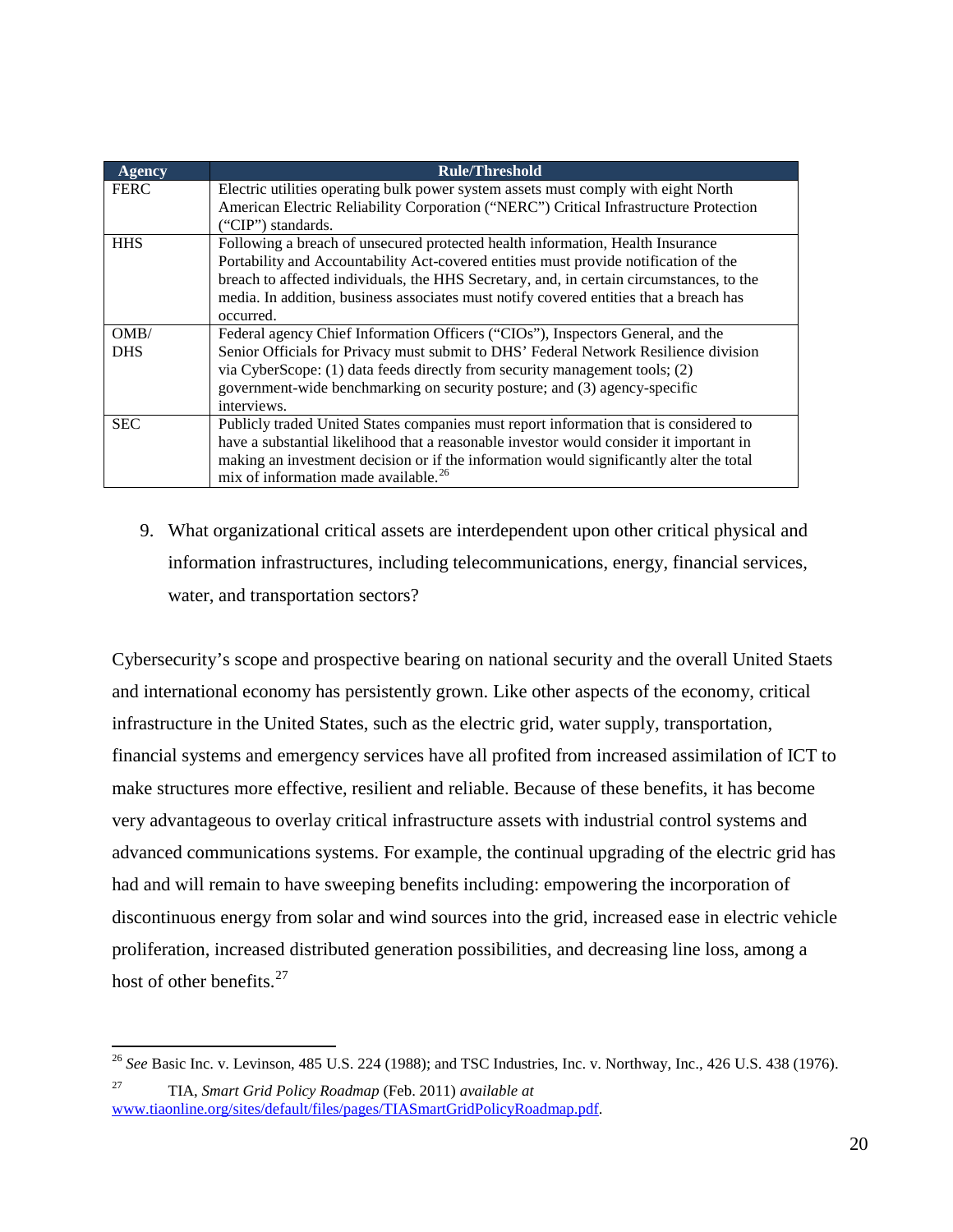| <b>Agency</b> | <b>Rule/Threshold</b>                                                                                       |
|---------------|-------------------------------------------------------------------------------------------------------------|
| <b>FERC</b>   | Electric utilities operating bulk power system assets must comply with eight North                          |
|               | American Electric Reliability Corporation ("NERC") Critical Infrastructure Protection<br>("CIP") standards. |
| <b>HHS</b>    | Following a breach of unsecured protected health information, Health Insurance                              |
|               | Portability and Accountability Act-covered entities must provide notification of the                        |
|               | breach to affected individuals, the HHS Secretary, and, in certain circumstances, to the                    |
|               | media. In addition, business associates must notify covered entities that a breach has                      |
|               | occurred.                                                                                                   |
| OMB/          | Federal agency Chief Information Officers ("CIOs"), Inspectors General, and the                             |
| <b>DHS</b>    | Senior Officials for Privacy must submit to DHS' Federal Network Resilience division                        |
|               | via CyberScope: (1) data feeds directly from security management tools; (2)                                 |
|               | government-wide benchmarking on security posture; and (3) agency-specific                                   |
|               | interviews.                                                                                                 |
| <b>SEC</b>    | Publicly traded United States companies must report information that is considered to                       |
|               | have a substantial likelihood that a reasonable investor would consider it important in                     |
|               | making an investment decision or if the information would significantly alter the total                     |
|               | mix of information made available. <sup>26</sup>                                                            |

9. What organizational critical assets are interdependent upon other critical physical and information infrastructures, including telecommunications, energy, financial services, water, and transportation sectors?

Cybersecurity's scope and prospective bearing on national security and the overall United Staets and international economy has persistently grown. Like other aspects of the economy, critical infrastructure in the United States, such as the electric grid, water supply, transportation, financial systems and emergency services have all profited from increased assimilation of ICT to make structures more effective, resilient and reliable. Because of these benefits, it has become very advantageous to overlay critical infrastructure assets with industrial control systems and advanced communications systems. For example, the continual upgrading of the electric grid has had and will remain to have sweeping benefits including: empowering the incorporation of discontinuous energy from solar and wind sources into the grid, increased ease in electric vehicle proliferation, increased distributed generation possibilities, and decreasing line loss, among a host of other benefits.<sup>[27](#page-19-1)</sup>

<span id="page-19-0"></span><sup>26</sup> *See* Basic Inc. v. Levinson, 485 U.S. 224 (1988); and TSC Industries, Inc. v. Northway, Inc., 426 U.S. 438 (1976).

<span id="page-19-1"></span><sup>27</sup> TIA, *Smart Grid Policy Roadmap* (Feb. 2011) *available at* [www.tiaonline.org/sites/default/files/pages/TIASmartGridPolicyRoadmap.pdf.](http://www.tiaonline.org/sites/default/files/pages/TIASmartGridPolicyRoadmap.pdf)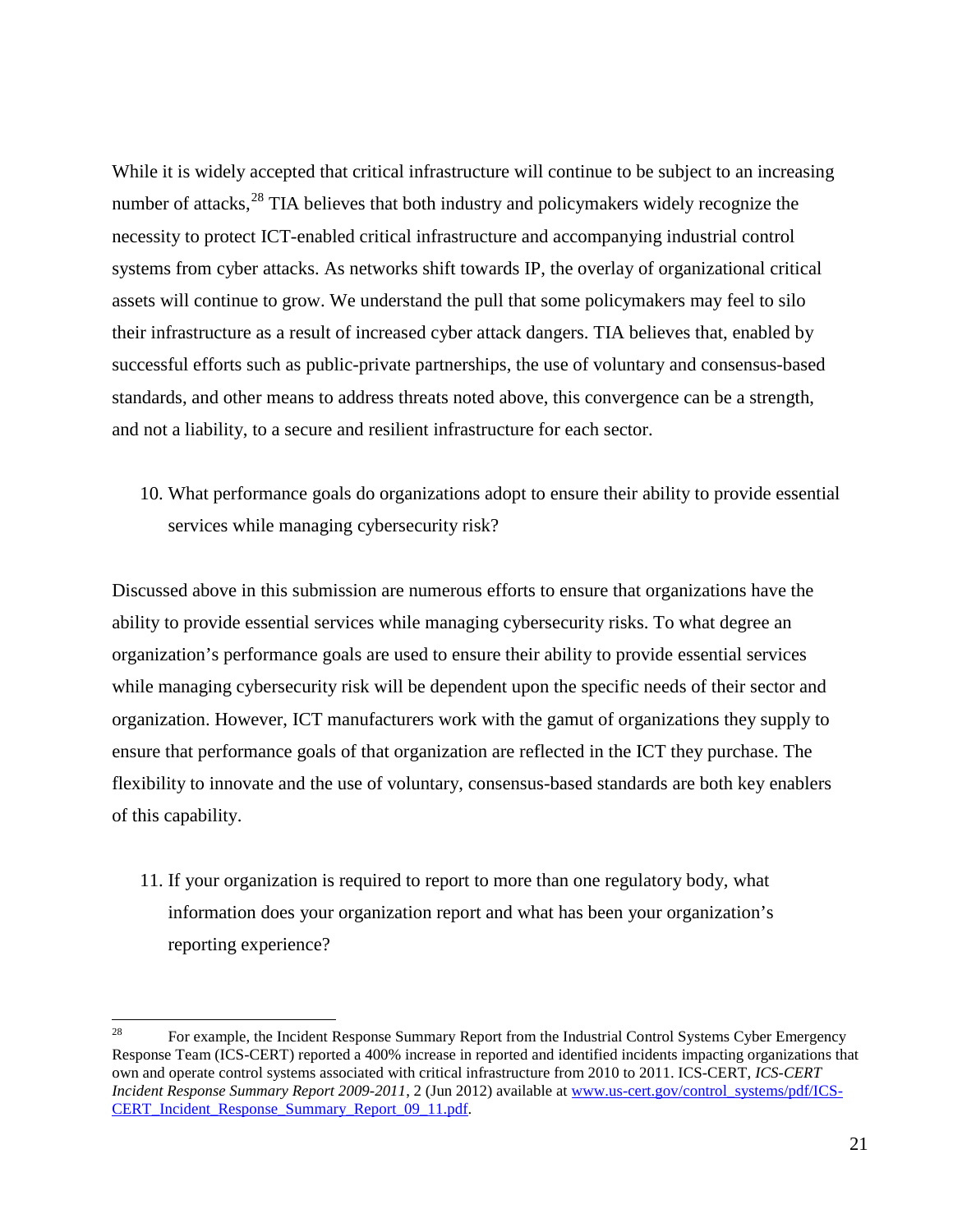While it is widely accepted that critical infrastructure will continue to be subject to an increasing number of attacks,<sup>[28](#page-20-0)</sup> TIA believes that both industry and policymakers widely recognize the necessity to protect ICT-enabled critical infrastructure and accompanying industrial control systems from cyber attacks. As networks shift towards IP, the overlay of organizational critical assets will continue to grow. We understand the pull that some policymakers may feel to silo their infrastructure as a result of increased cyber attack dangers. TIA believes that, enabled by successful efforts such as public-private partnerships, the use of voluntary and consensus-based standards, and other means to address threats noted above, this convergence can be a strength, and not a liability, to a secure and resilient infrastructure for each sector.

10. What performance goals do organizations adopt to ensure their ability to provide essential services while managing cybersecurity risk?

Discussed above in this submission are numerous efforts to ensure that organizations have the ability to provide essential services while managing cybersecurity risks. To what degree an organization's performance goals are used to ensure their ability to provide essential services while managing cybersecurity risk will be dependent upon the specific needs of their sector and organization. However, ICT manufacturers work with the gamut of organizations they supply to ensure that performance goals of that organization are reflected in the ICT they purchase. The flexibility to innovate and the use of voluntary, consensus-based standards are both key enablers of this capability.

11. If your organization is required to report to more than one regulatory body, what information does your organization report and what has been your organization's reporting experience?

<span id="page-20-0"></span><sup>&</sup>lt;sup>28</sup> For example, the Incident Response Summary Report from the Industrial Control Systems Cyber Emergency Response Team (ICS-CERT) reported a 400% increase in reported and identified incidents impacting organizations that own and operate control systems associated with critical infrastructure from 2010 to 2011. ICS-CERT, *ICS-CERT Incident Response Summary Report 2009-2011*, 2 (Jun 2012) available at [www.us-cert.gov/control\\_systems/pdf/ICS-](http://www.us-cert.gov/control_systems/pdf/ICS-CERT_Incident_Response_Summary_Report_09_11.pdf)[CERT\\_Incident\\_Response\\_Summary\\_Report\\_09\\_11.pdf.](http://www.us-cert.gov/control_systems/pdf/ICS-CERT_Incident_Response_Summary_Report_09_11.pdf)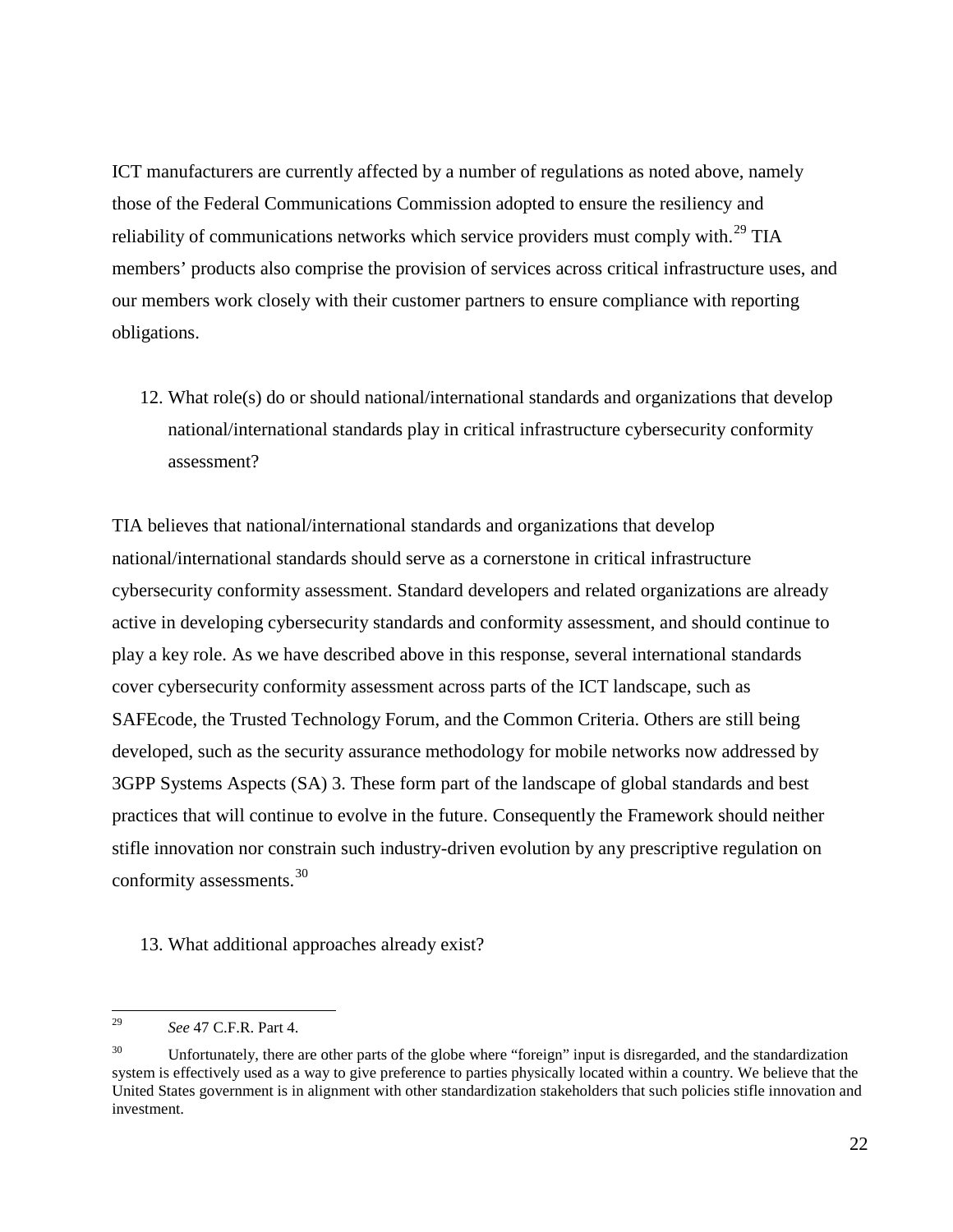ICT manufacturers are currently affected by a number of regulations as noted above, namely those of the Federal Communications Commission adopted to ensure the resiliency and reliability of communications networks which service providers must comply with.<sup>[29](#page-21-0)</sup> TIA members' products also comprise the provision of services across critical infrastructure uses, and our members work closely with their customer partners to ensure compliance with reporting obligations.

12. What role(s) do or should national/international standards and organizations that develop national/international standards play in critical infrastructure cybersecurity conformity assessment?

TIA believes that national/international standards and organizations that develop national/international standards should serve as a cornerstone in critical infrastructure cybersecurity conformity assessment. Standard developers and related organizations are already active in developing cybersecurity standards and conformity assessment, and should continue to play a key role. As we have described above in this response, several international standards cover cybersecurity conformity assessment across parts of the ICT landscape, such as SAFEcode, the Trusted Technology Forum, and the Common Criteria. Others are still being developed, such as the security assurance methodology for mobile networks now addressed by 3GPP Systems Aspects (SA) 3. These form part of the landscape of global standards and best practices that will continue to evolve in the future. Consequently the Framework should neither stifle innovation nor constrain such industry-driven evolution by any prescriptive regulation on conformity assessments. [30](#page-21-1)

13. What additional approaches already exist?

<span id="page-21-0"></span><sup>29</sup> *See* 47 C.F.R. Part 4.

<span id="page-21-1"></span><sup>&</sup>lt;sup>30</sup> Unfortunately, there are other parts of the globe where "foreign" input is disregarded, and the standardization system is effectively used as a way to give preference to parties physically located within a country. We believe that the United States government is in alignment with other standardization stakeholders that such policies stifle innovation and investment.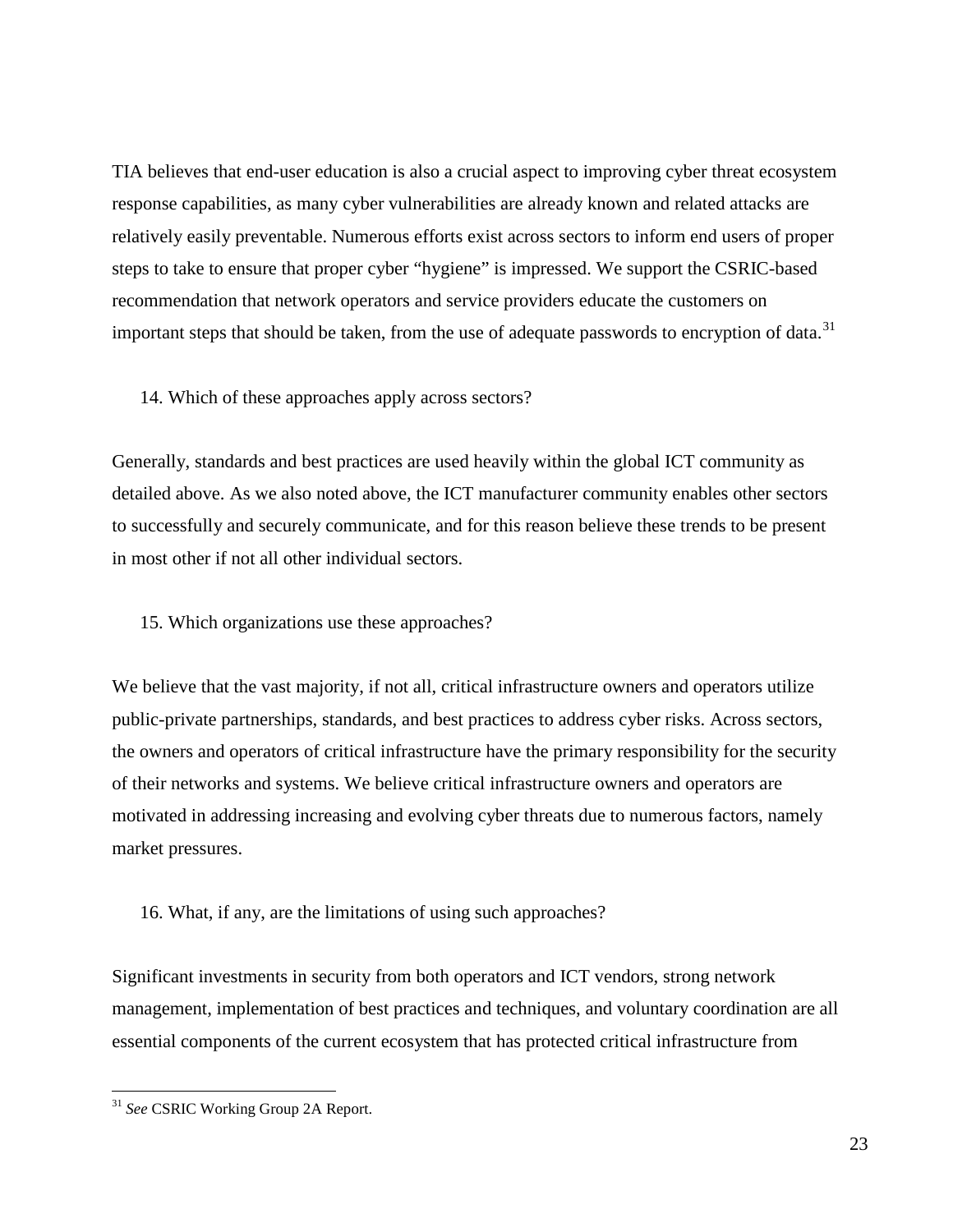TIA believes that end-user education is also a crucial aspect to improving cyber threat ecosystem response capabilities, as many cyber vulnerabilities are already known and related attacks are relatively easily preventable. Numerous efforts exist across sectors to inform end users of proper steps to take to ensure that proper cyber "hygiene" is impressed. We support the CSRIC-based recommendation that network operators and service providers educate the customers on important steps that should be taken, from the use of adequate passwords to encryption of data.<sup>[31](#page-22-0)</sup>

14. Which of these approaches apply across sectors?

Generally, standards and best practices are used heavily within the global ICT community as detailed above. As we also noted above, the ICT manufacturer community enables other sectors to successfully and securely communicate, and for this reason believe these trends to be present in most other if not all other individual sectors.

15. Which organizations use these approaches?

We believe that the vast majority, if not all, critical infrastructure owners and operators utilize public-private partnerships, standards, and best practices to address cyber risks. Across sectors, the owners and operators of critical infrastructure have the primary responsibility for the security of their networks and systems. We believe critical infrastructure owners and operators are motivated in addressing increasing and evolving cyber threats due to numerous factors, namely market pressures.

16. What, if any, are the limitations of using such approaches?

Significant investments in security from both operators and ICT vendors, strong network management, implementation of best practices and techniques, and voluntary coordination are all essential components of the current ecosystem that has protected critical infrastructure from

<span id="page-22-0"></span><sup>31</sup> *See* CSRIC Working Group 2A Report.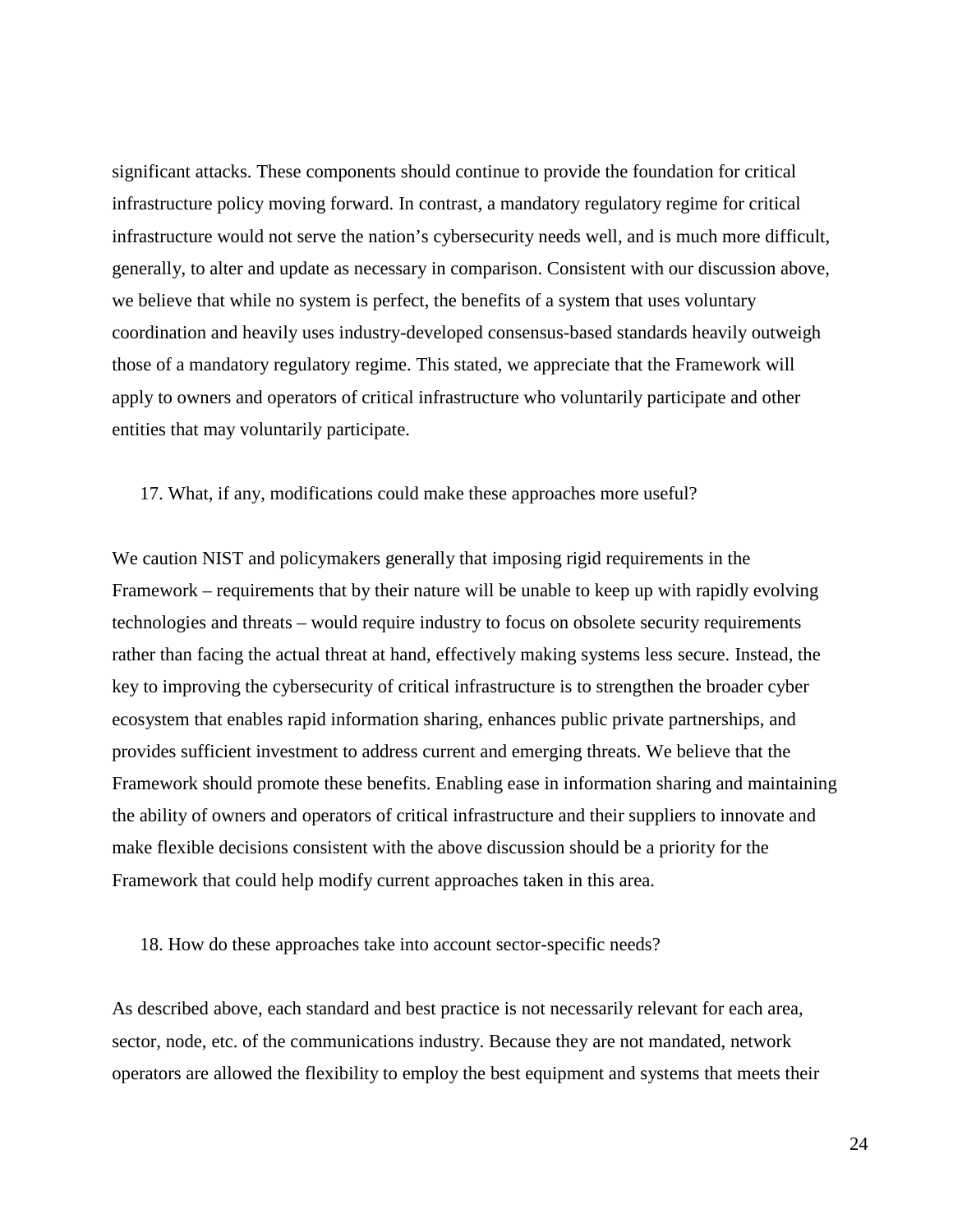significant attacks. These components should continue to provide the foundation for critical infrastructure policy moving forward. In contrast, a mandatory regulatory regime for critical infrastructure would not serve the nation's cybersecurity needs well, and is much more difficult, generally, to alter and update as necessary in comparison. Consistent with our discussion above, we believe that while no system is perfect, the benefits of a system that uses voluntary coordination and heavily uses industry-developed consensus-based standards heavily outweigh those of a mandatory regulatory regime. This stated, we appreciate that the Framework will apply to owners and operators of critical infrastructure who voluntarily participate and other entities that may voluntarily participate.

#### 17. What, if any, modifications could make these approaches more useful?

We caution NIST and policymakers generally that imposing rigid requirements in the Framework – requirements that by their nature will be unable to keep up with rapidly evolving technologies and threats – would require industry to focus on obsolete security requirements rather than facing the actual threat at hand, effectively making systems less secure. Instead, the key to improving the cybersecurity of critical infrastructure is to strengthen the broader cyber ecosystem that enables rapid information sharing, enhances public private partnerships, and provides sufficient investment to address current and emerging threats. We believe that the Framework should promote these benefits. Enabling ease in information sharing and maintaining the ability of owners and operators of critical infrastructure and their suppliers to innovate and make flexible decisions consistent with the above discussion should be a priority for the Framework that could help modify current approaches taken in this area.

#### 18. How do these approaches take into account sector-specific needs?

As described above, each standard and best practice is not necessarily relevant for each area, sector, node, etc. of the communications industry. Because they are not mandated, network operators are allowed the flexibility to employ the best equipment and systems that meets their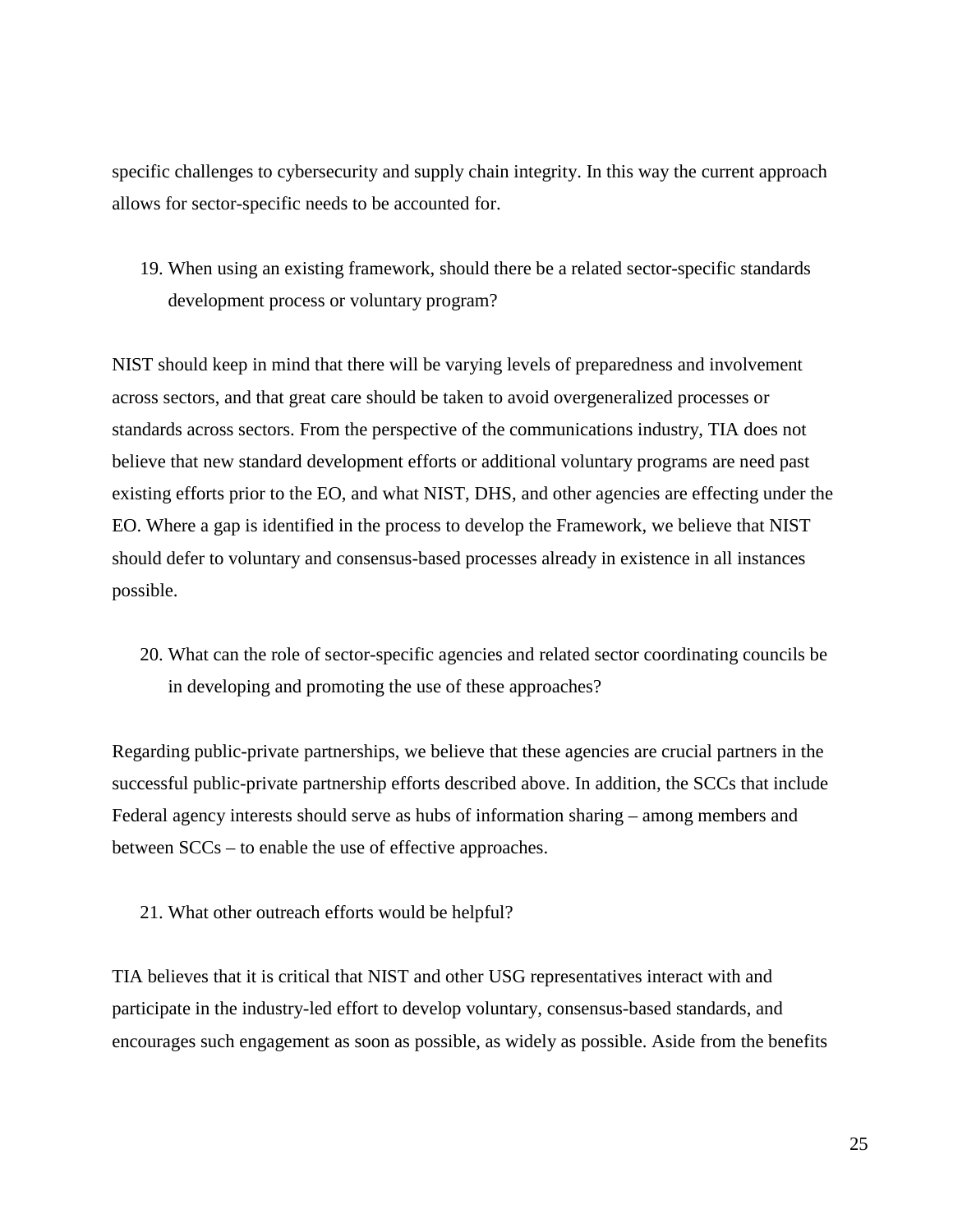specific challenges to cybersecurity and supply chain integrity. In this way the current approach allows for sector-specific needs to be accounted for.

19. When using an existing framework, should there be a related sector-specific standards development process or voluntary program?

NIST should keep in mind that there will be varying levels of preparedness and involvement across sectors, and that great care should be taken to avoid overgeneralized processes or standards across sectors. From the perspective of the communications industry, TIA does not believe that new standard development efforts or additional voluntary programs are need past existing efforts prior to the EO, and what NIST, DHS, and other agencies are effecting under the EO. Where a gap is identified in the process to develop the Framework, we believe that NIST should defer to voluntary and consensus-based processes already in existence in all instances possible.

20. What can the role of sector-specific agencies and related sector coordinating councils be in developing and promoting the use of these approaches?

Regarding public-private partnerships, we believe that these agencies are crucial partners in the successful public-private partnership efforts described above. In addition, the SCCs that include Federal agency interests should serve as hubs of information sharing – among members and between SCCs – to enable the use of effective approaches.

21. What other outreach efforts would be helpful?

TIA believes that it is critical that NIST and other USG representatives interact with and participate in the industry-led effort to develop voluntary, consensus-based standards, and encourages such engagement as soon as possible, as widely as possible. Aside from the benefits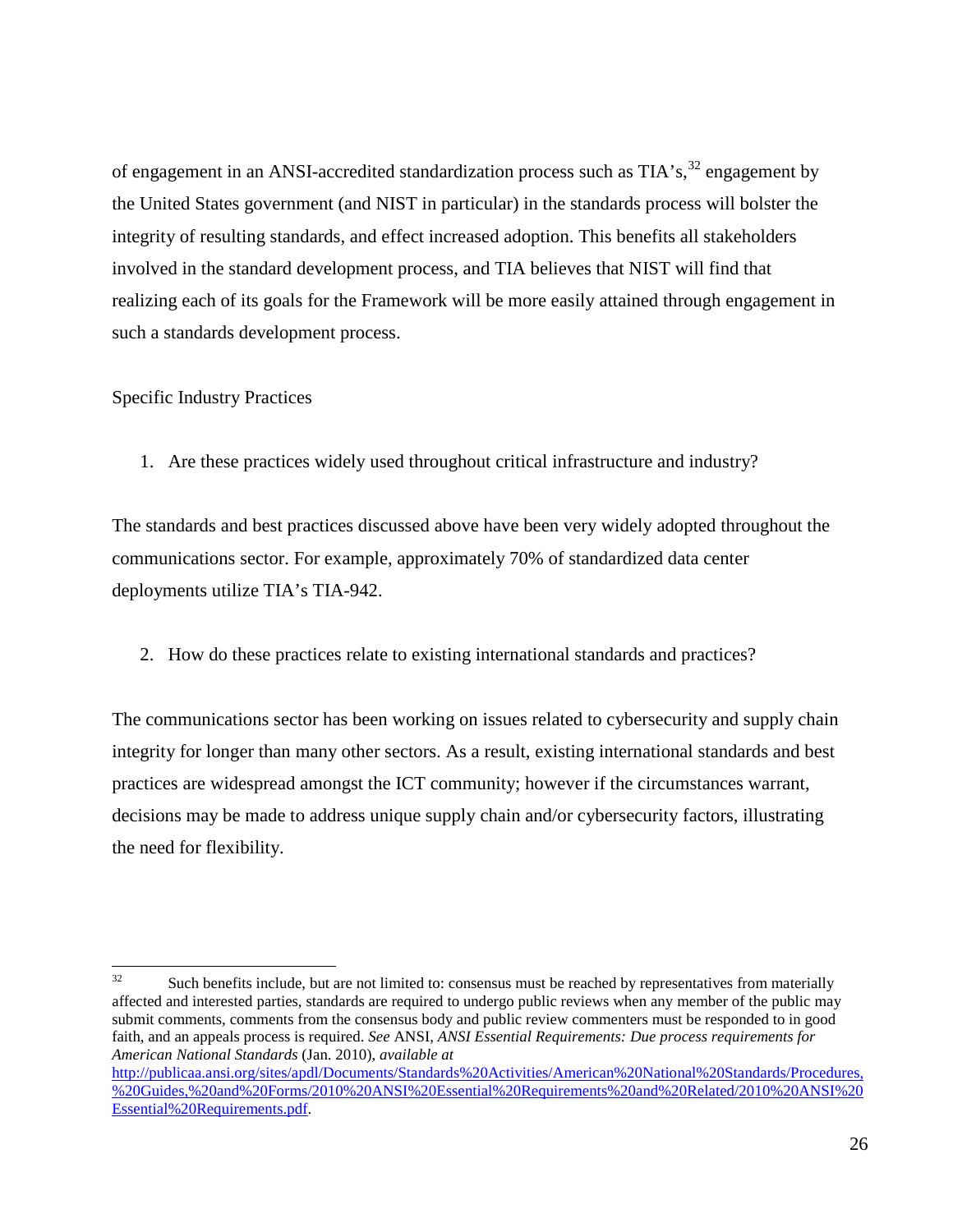of engagement in an ANSI-accredited standardization process such as  $TIA's$ ,  $32$  engagement by the United States government (and NIST in particular) in the standards process will bolster the integrity of resulting standards, and effect increased adoption. This benefits all stakeholders involved in the standard development process, and TIA believes that NIST will find that realizing each of its goals for the Framework will be more easily attained through engagement in such a standards development process.

Specific Industry Practices

1. Are these practices widely used throughout critical infrastructure and industry?

The standards and best practices discussed above have been very widely adopted throughout the communications sector. For example, approximately 70% of standardized data center deployments utilize TIA's TIA-942.

2. How do these practices relate to existing international standards and practices?

The communications sector has been working on issues related to cybersecurity and supply chain integrity for longer than many other sectors. As a result, existing international standards and best practices are widespread amongst the ICT community; however if the circumstances warrant, decisions may be made to address unique supply chain and/or cybersecurity factors, illustrating the need for flexibility.

<span id="page-25-0"></span> $32$  Such benefits include, but are not limited to: consensus must be reached by representatives from materially affected and interested parties, standards are required to undergo public reviews when any member of the public may submit comments, comments from the consensus body and public review commenters must be responded to in good faith, and an appeals process is required. *See* ANSI, *ANSI Essential Requirements: Due process requirements for American National Standards* (Jan. 2010), *available at* 

[http://publicaa.ansi.org/sites/apdl/Documents/Standards%20Activities/American%20National%20Standards/Procedures,](http://publicaa.ansi.org/sites/apdl/Documents/Standards%20Activities/American%20National%20Standards/Procedures,%20Guides,%20and%20Forms/2010%20ANSI%20Essential%20Requirements%20and%20Related/2010%20ANSI%20Essential%20Requirements.pdf) [%20Guides,%20and%20Forms/2010%20ANSI%20Essential%20Requirements%20and%20Related/2010%20ANSI%20](http://publicaa.ansi.org/sites/apdl/Documents/Standards%20Activities/American%20National%20Standards/Procedures,%20Guides,%20and%20Forms/2010%20ANSI%20Essential%20Requirements%20and%20Related/2010%20ANSI%20Essential%20Requirements.pdf) [Essential%20Requirements.pdf.](http://publicaa.ansi.org/sites/apdl/Documents/Standards%20Activities/American%20National%20Standards/Procedures,%20Guides,%20and%20Forms/2010%20ANSI%20Essential%20Requirements%20and%20Related/2010%20ANSI%20Essential%20Requirements.pdf)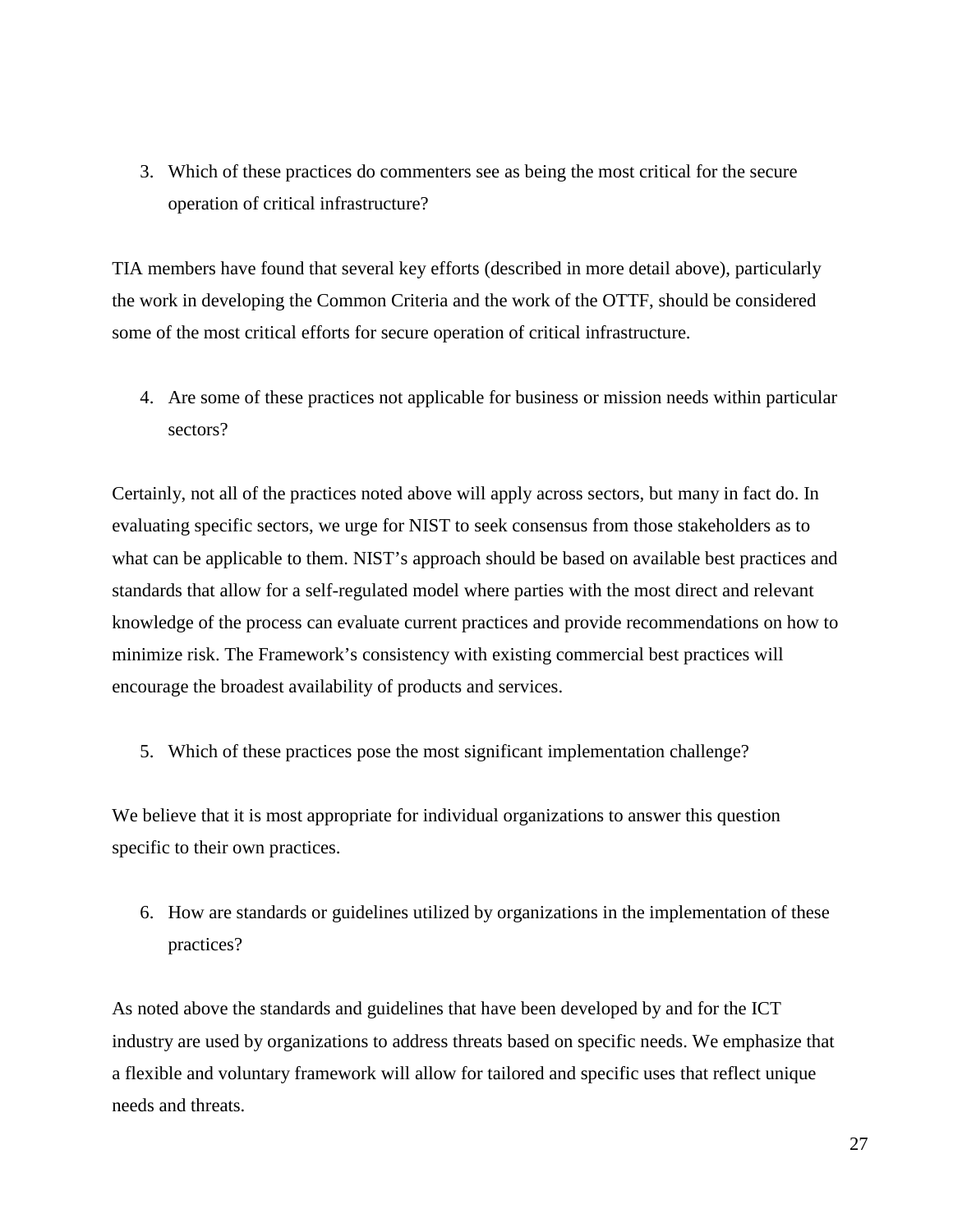3. Which of these practices do commenters see as being the most critical for the secure operation of critical infrastructure?

TIA members have found that several key efforts (described in more detail above), particularly the work in developing the Common Criteria and the work of the OTTF, should be considered some of the most critical efforts for secure operation of critical infrastructure.

4. Are some of these practices not applicable for business or mission needs within particular sectors?

Certainly, not all of the practices noted above will apply across sectors, but many in fact do. In evaluating specific sectors, we urge for NIST to seek consensus from those stakeholders as to what can be applicable to them. NIST's approach should be based on available best practices and standards that allow for a self-regulated model where parties with the most direct and relevant knowledge of the process can evaluate current practices and provide recommendations on how to minimize risk. The Framework's consistency with existing commercial best practices will encourage the broadest availability of products and services.

5. Which of these practices pose the most significant implementation challenge?

We believe that it is most appropriate for individual organizations to answer this question specific to their own practices.

6. How are standards or guidelines utilized by organizations in the implementation of these practices?

As noted above the standards and guidelines that have been developed by and for the ICT industry are used by organizations to address threats based on specific needs. We emphasize that a flexible and voluntary framework will allow for tailored and specific uses that reflect unique needs and threats.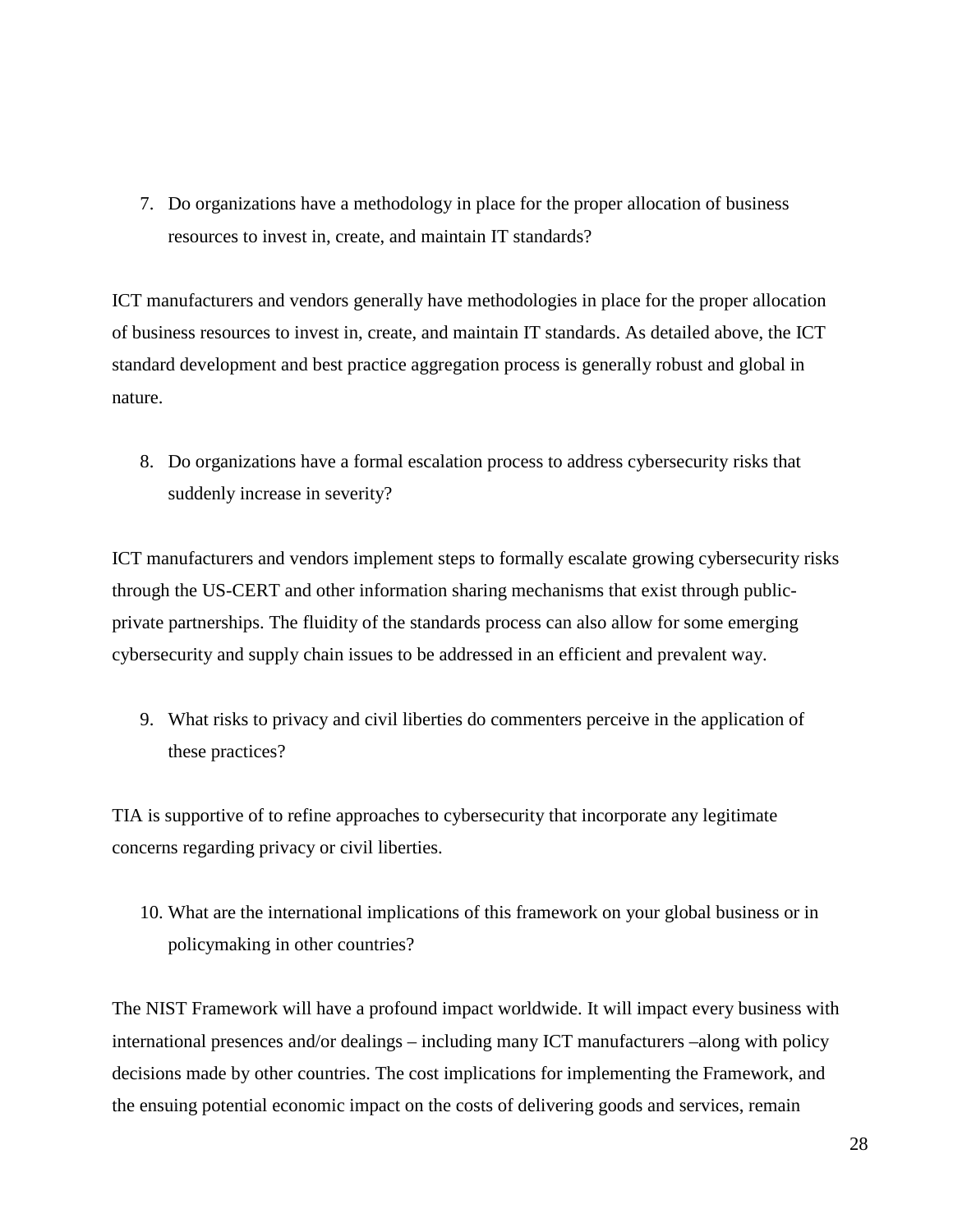7. Do organizations have a methodology in place for the proper allocation of business resources to invest in, create, and maintain IT standards?

ICT manufacturers and vendors generally have methodologies in place for the proper allocation of business resources to invest in, create, and maintain IT standards. As detailed above, the ICT standard development and best practice aggregation process is generally robust and global in nature.

8. Do organizations have a formal escalation process to address cybersecurity risks that suddenly increase in severity?

ICT manufacturers and vendors implement steps to formally escalate growing cybersecurity risks through the US-CERT and other information sharing mechanisms that exist through publicprivate partnerships. The fluidity of the standards process can also allow for some emerging cybersecurity and supply chain issues to be addressed in an efficient and prevalent way.

9. What risks to privacy and civil liberties do commenters perceive in the application of these practices?

TIA is supportive of to refine approaches to cybersecurity that incorporate any legitimate concerns regarding privacy or civil liberties.

10. What are the international implications of this framework on your global business or in policymaking in other countries?

The NIST Framework will have a profound impact worldwide. It will impact every business with international presences and/or dealings – including many ICT manufacturers –along with policy decisions made by other countries. The cost implications for implementing the Framework, and the ensuing potential economic impact on the costs of delivering goods and services, remain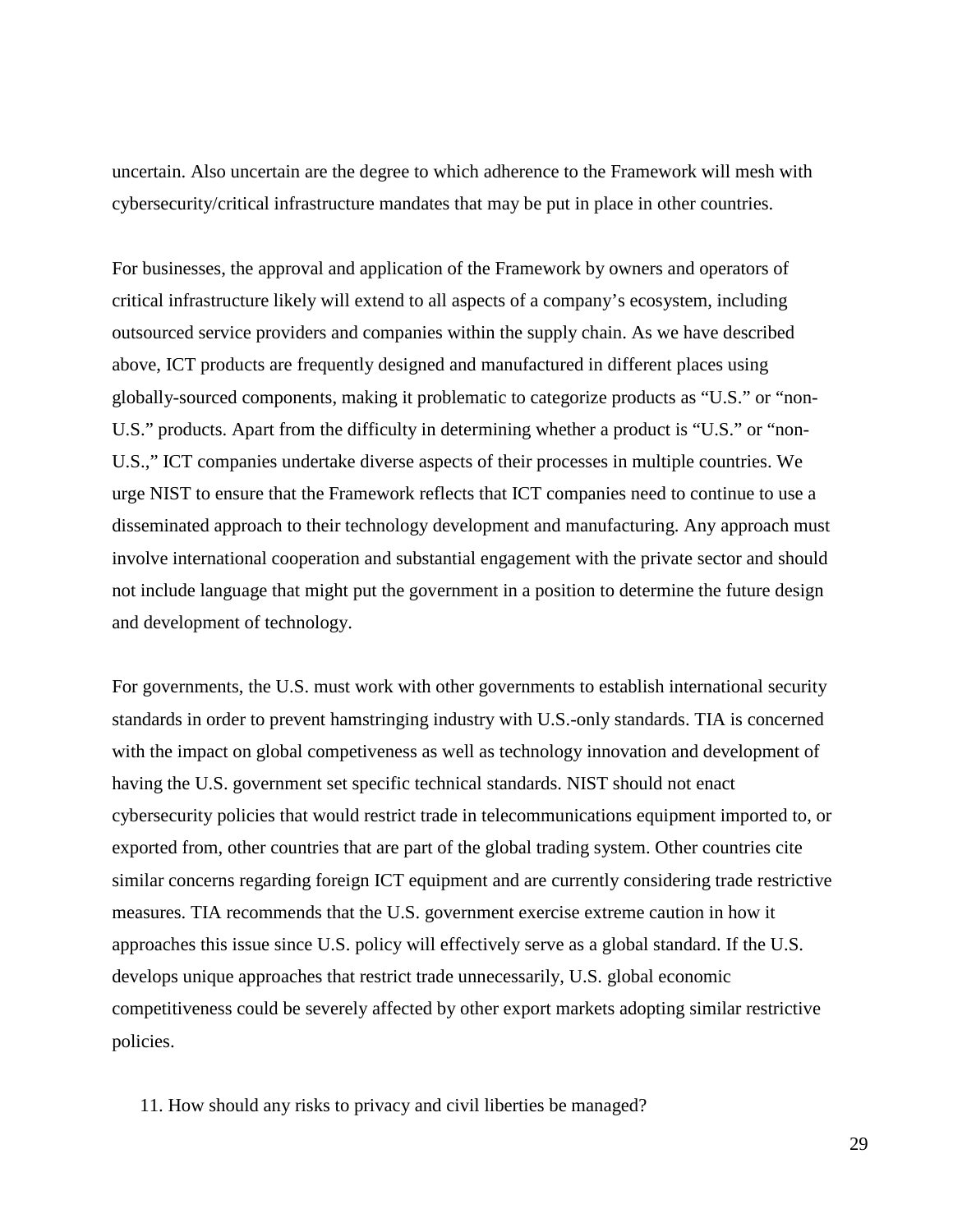uncertain. Also uncertain are the degree to which adherence to the Framework will mesh with cybersecurity/critical infrastructure mandates that may be put in place in other countries.

For businesses, the approval and application of the Framework by owners and operators of critical infrastructure likely will extend to all aspects of a company's ecosystem, including outsourced service providers and companies within the supply chain. As we have described above, ICT products are frequently designed and manufactured in different places using globally-sourced components, making it problematic to categorize products as "U.S." or "non-U.S." products. Apart from the difficulty in determining whether a product is "U.S." or "non-U.S.," ICT companies undertake diverse aspects of their processes in multiple countries. We urge NIST to ensure that the Framework reflects that ICT companies need to continue to use a disseminated approach to their technology development and manufacturing. Any approach must involve international cooperation and substantial engagement with the private sector and should not include language that might put the government in a position to determine the future design and development of technology.

For governments, the U.S. must work with other governments to establish international security standards in order to prevent hamstringing industry with U.S.-only standards. TIA is concerned with the impact on global competiveness as well as technology innovation and development of having the U.S. government set specific technical standards. NIST should not enact cybersecurity policies that would restrict trade in telecommunications equipment imported to, or exported from, other countries that are part of the global trading system. Other countries cite similar concerns regarding foreign ICT equipment and are currently considering trade restrictive measures. TIA recommends that the U.S. government exercise extreme caution in how it approaches this issue since U.S. policy will effectively serve as a global standard. If the U.S. develops unique approaches that restrict trade unnecessarily, U.S. global economic competitiveness could be severely affected by other export markets adopting similar restrictive policies.

11. How should any risks to privacy and civil liberties be managed?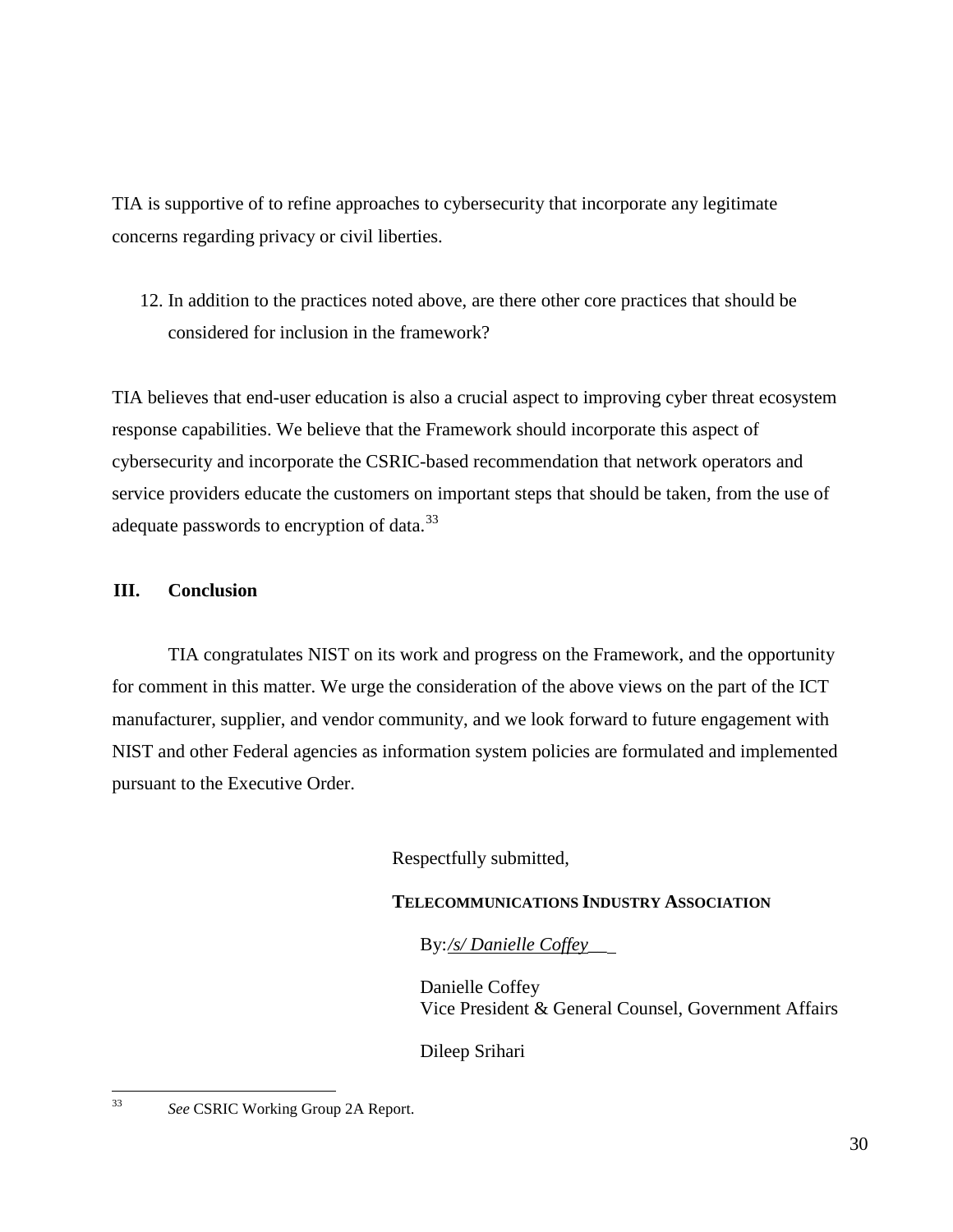TIA is supportive of to refine approaches to cybersecurity that incorporate any legitimate concerns regarding privacy or civil liberties.

12. In addition to the practices noted above, are there other core practices that should be considered for inclusion in the framework?

TIA believes that end-user education is also a crucial aspect to improving cyber threat ecosystem response capabilities. We believe that the Framework should incorporate this aspect of cybersecurity and incorporate the CSRIC-based recommendation that network operators and service providers educate the customers on important steps that should be taken, from the use of adequate passwords to encryption of data.<sup>[33](#page-29-0)</sup>

### **III. Conclusion**

TIA congratulates NIST on its work and progress on the Framework, and the opportunity for comment in this matter. We urge the consideration of the above views on the part of the ICT manufacturer, supplier, and vendor community, and we look forward to future engagement with NIST and other Federal agencies as information system policies are formulated and implemented pursuant to the Executive Order.

Respectfully submitted,

### **TELECOMMUNICATIONS INDUSTRY ASSOCIATION**

By:*/s/ Danielle Coffey\_\_*

Danielle Coffey Vice President & General Counsel, Government Affairs

Dileep Srihari

<span id="page-29-0"></span><sup>33</sup> *See* CSRIC Working Group 2A Report.